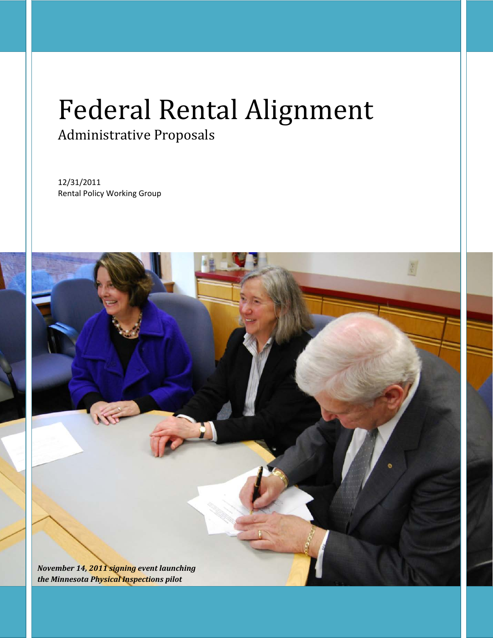# Federal Rental Alignment Administrative Proposals

12/31/2011 Rental Policy Working Group

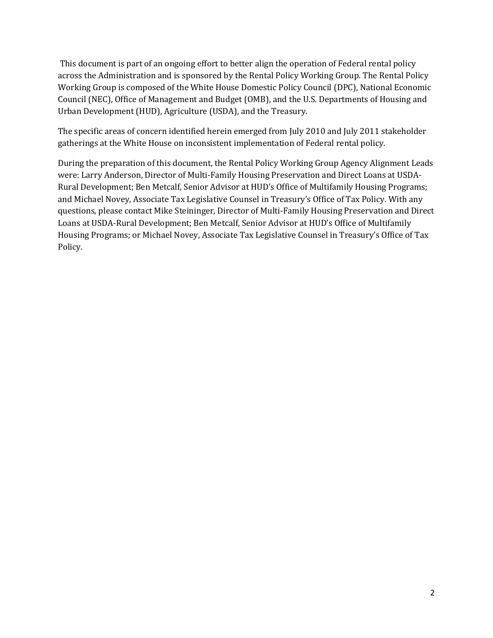This document is part of an ongoing effort to better align the operation of Federal rental policy across the Administration and is sponsored by the Rental Policy Working Group. The Rental Policy Working Group is composed of the White House Domestic Policy Council (DPC), National Economic Council (NEC), Office of Management and Budget (OMB), and the U.S. Departments of Housing and Urban Development (HUD), Agriculture (USDA), and the Treasury.

The specific areas of concern identified herein emerged from July 2010 and July 2011 stakeholder gatherings at the White House on inconsistent implementation of Federal rental policy.

During the preparation of this document, the Rental Policy Working Group Agency Alignment Leads were: Larry Anderson, Director of Multi-Family Housing Preservation and Direct Loans at USDA-Rural Development; Ben Metcalf, Senior Advisor at HUD's Office of Multifamily Housing Programs; and Michael Novey, Associate Tax Legislative Counsel in Treasury's Office of Tax Policy. With any questions, please contact Mike Steininger, Director of Multi-Family Housing Preservation and Direct Loans at USDA-Rural Development; Ben Metcalf, Senior Advisor at HUD's Office of Multifamily Housing Programs; or Michael Novey, Associate Tax Legislative Counsel in Treasury's Office of Tax Policy.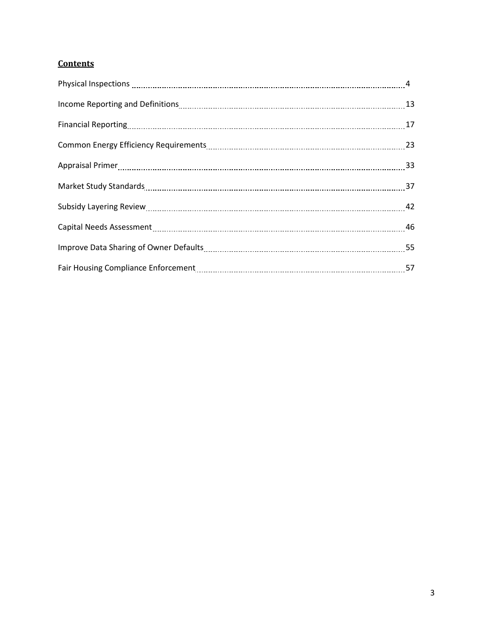# **Contents**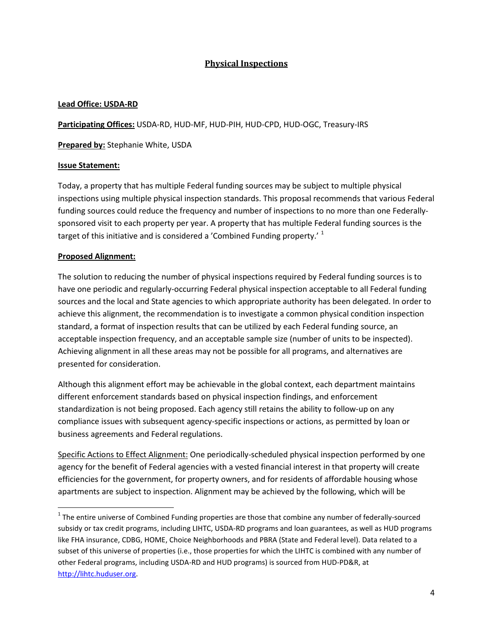# **Physical Inspections**

## **Lead Office: USDA-RD**

**Participating Offices:** USDA-RD, HUD-MF, HUD-PIH, HUD-CPD, HUD-OGC, Treasury-IRS

**Prepared by:** Stephanie White, USDA

## **Issue Statement:**

Today, a property that has multiple Federal funding sources may be subject to multiple physical inspections using multiple physical inspection standards. This proposal recommends that various Federal funding sources could reduce the frequency and number of inspections to no more than one Federallysponsored visit to each property per year. A property that has multiple Federal funding sources is the target of this initiative and is considered a 'Combined Funding property.' <sup>[1](#page-3-0)</sup>

## **Proposed Alignment:**

The solution to reducing the number of physical inspections required by Federal funding sources is to have one periodic and regularly-occurring Federal physical inspection acceptable to all Federal funding sources and the local and State agencies to which appropriate authority has been delegated. In order to achieve this alignment, the recommendation is to investigate a common physical condition inspection standard, a format of inspection results that can be utilized by each Federal funding source, an acceptable inspection frequency, and an acceptable sample size (number of units to be inspected). Achieving alignment in all these areas may not be possible for all programs, and alternatives are presented for consideration.

Although this alignment effort may be achievable in the global context, each department maintains different enforcement standards based on physical inspection findings, and enforcement standardization is not being proposed. Each agency still retains the ability to follow-up on any compliance issues with subsequent agency-specific inspections or actions, as permitted by loan or business agreements and Federal regulations.

Specific Actions to Effect Alignment: One periodically-scheduled physical inspection performed by one agency for the benefit of Federal agencies with a vested financial interest in that property will create efficiencies for the government, for property owners, and for residents of affordable housing whose apartments are subject to inspection. Alignment may be achieved by the following, which will be

<span id="page-3-0"></span> $1$  The entire universe of Combined Funding properties are those that combine any number of federally-sourced subsidy or tax credit programs, including LIHTC, USDA-RD programs and loan guarantees, as well as HUD programs like FHA insurance, CDBG, HOME, Choice Neighborhoods and PBRA (State and Federal level). Data related to a subset of this universe of properties (i.e., those properties for which the LIHTC is combined with any number of other Federal programs, including USDA-RD and HUD programs) is sourced from HUD-PD&R, at [http://lihtc.huduser.org.](http://lihtc.huduser.org/)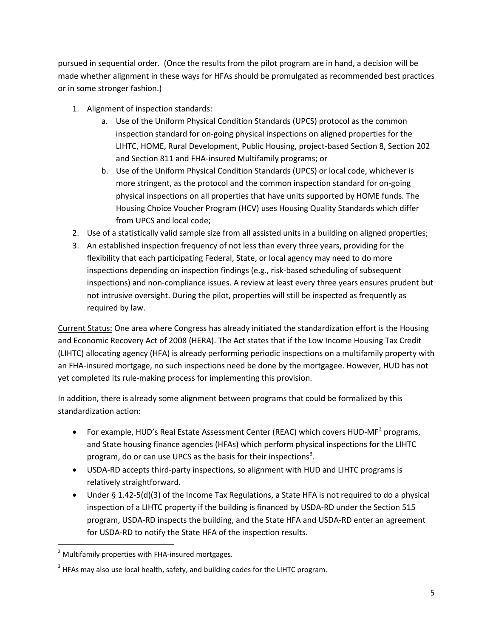pursued in sequential order. (Once the results from the pilot program are in hand, a decision will be made whether alignment in these ways for HFAs should be promulgated as recommended best practices or in some stronger fashion.)

- 1. Alignment of inspection standards:
	- a. Use of the Uniform Physical Condition Standards (UPCS) protocol as the common inspection standard for on-going physical inspections on aligned properties for the LIHTC, HOME, Rural Development, Public Housing, project-based Section 8, Section 202 and Section 811 and FHA-insured Multifamily programs; or
	- b. Use of the Uniform Physical Condition Standards (UPCS) or local code, whichever is more stringent, as the protocol and the common inspection standard for on-going physical inspections on all properties that have units supported by HOME funds. The Housing Choice Voucher Program (HCV) uses Housing Quality Standards which differ from UPCS and local code;
- 2. Use of a statistically valid sample size from all assisted units in a building on aligned properties;
- 3. An established inspection frequency of not less than every three years, providing for the flexibility that each participating Federal, State, or local agency may need to do more inspections depending on inspection findings (e.g., risk-based scheduling of subsequent inspections) and non-compliance issues. A review at least every three years ensures prudent but not intrusive oversight. During the pilot, properties will still be inspected as frequently as required by law.

Current Status: One area where Congress has already initiated the standardization effort is the Housing and Economic Recovery Act of 2008 (HERA). The Act states that if the Low Income Housing Tax Credit (LIHTC) allocating agency (HFA) is already performing periodic inspections on a multifamily property with an FHA-insured mortgage, no such inspections need be done by the mortgagee. However, HUD has not yet completed its rule-making process for implementing this provision.

In addition, there is already some alignment between programs that could be formalized by this standardization action:

- For example, HUD's Real Estate Assessment Center (REAC) which covers HUD-MF<sup>[2](#page-4-0)</sup> programs, and State housing finance agencies (HFAs) which perform physical inspections for the LIHTC program, do or can use UPCS as the basis for their inspections<sup>[3](#page-4-1)</sup>.
- USDA-RD accepts third-party inspections, so alignment with HUD and LIHTC programs is relatively straightforward.
- Under § 1.42-5(d)(3) of the Income Tax Regulations, a State HFA is not required to do a physical inspection of a LIHTC property if the building is financed by USDA-RD under the Section 515 program, USDA-RD inspects the building, and the State HFA and USDA-RD enter an agreement for USDA-RD to notify the State HFA of the inspection results.

<span id="page-4-0"></span> $2$  Multifamily properties with FHA-insured mortgages.

<span id="page-4-1"></span> $3$  HFAs may also use local health, safety, and building codes for the LIHTC program.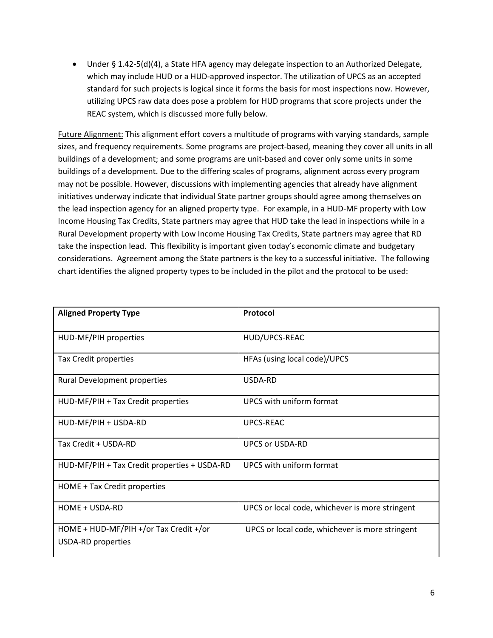• Under § 1.42-5(d)(4), a State HFA agency may delegate inspection to an Authorized Delegate, which may include HUD or a HUD-approved inspector. The utilization of UPCS as an accepted standard for such projects is logical since it forms the basis for most inspections now. However, utilizing UPCS raw data does pose a problem for HUD programs that score projects under the REAC system, which is discussed more fully below.

Future Alignment: This alignment effort covers a multitude of programs with varying standards, sample sizes, and frequency requirements. Some programs are project-based, meaning they cover all units in all buildings of a development; and some programs are unit-based and cover only some units in some buildings of a development. Due to the differing scales of programs, alignment across every program may not be possible. However, discussions with implementing agencies that already have alignment initiatives underway indicate that individual State partner groups should agree among themselves on the lead inspection agency for an aligned property type. For example, in a HUD-MF property with Low Income Housing Tax Credits, State partners may agree that HUD take the lead in inspections while in a Rural Development property with Low Income Housing Tax Credits, State partners may agree that RD take the inspection lead. This flexibility is important given today's economic climate and budgetary considerations. Agreement among the State partners is the key to a successful initiative. The following chart identifies the aligned property types to be included in the pilot and the protocol to be used:

| <b>Aligned Property Type</b>                                        | Protocol                                        |
|---------------------------------------------------------------------|-------------------------------------------------|
| HUD-MF/PIH properties                                               | HUD/UPCS-REAC                                   |
| Tax Credit properties                                               | HFAs (using local code)/UPCS                    |
| <b>Rural Development properties</b>                                 | USDA-RD                                         |
| HUD-MF/PIH + Tax Credit properties                                  | UPCS with uniform format                        |
| HUD-MF/PIH + USDA-RD                                                | <b>UPCS-REAC</b>                                |
| Tax Credit + USDA-RD                                                | <b>UPCS or USDA-RD</b>                          |
| HUD-MF/PIH + Tax Credit properties + USDA-RD                        | UPCS with uniform format                        |
| HOME + Tax Credit properties                                        |                                                 |
| HOME + USDA-RD                                                      | UPCS or local code, whichever is more stringent |
| HOME + HUD-MF/PIH +/or Tax Credit +/or<br><b>USDA-RD</b> properties | UPCS or local code, whichever is more stringent |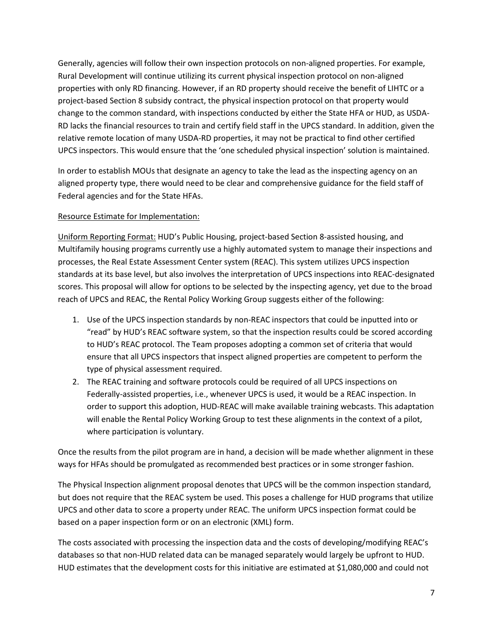Generally, agencies will follow their own inspection protocols on non-aligned properties. For example, Rural Development will continue utilizing its current physical inspection protocol on non-aligned properties with only RD financing. However, if an RD property should receive the benefit of LIHTC or a project-based Section 8 subsidy contract, the physical inspection protocol on that property would change to the common standard, with inspections conducted by either the State HFA or HUD, as USDA-RD lacks the financial resources to train and certify field staff in the UPCS standard. In addition, given the relative remote location of many USDA-RD properties, it may not be practical to find other certified UPCS inspectors. This would ensure that the 'one scheduled physical inspection' solution is maintained.

In order to establish MOUs that designate an agency to take the lead as the inspecting agency on an aligned property type, there would need to be clear and comprehensive guidance for the field staff of Federal agencies and for the State HFAs.

## Resource Estimate for Implementation:

Uniform Reporting Format: HUD's Public Housing, project-based Section 8-assisted housing, and Multifamily housing programs currently use a highly automated system to manage their inspections and processes, the Real Estate Assessment Center system (REAC). This system utilizes UPCS inspection standards at its base level, but also involves the interpretation of UPCS inspections into REAC-designated scores. This proposal will allow for options to be selected by the inspecting agency, yet due to the broad reach of UPCS and REAC, the Rental Policy Working Group suggests either of the following:

- 1. Use of the UPCS inspection standards by non-REAC inspectors that could be inputted into or "read" by HUD's REAC software system, so that the inspection results could be scored according to HUD's REAC protocol. The Team proposes adopting a common set of criteria that would ensure that all UPCS inspectors that inspect aligned properties are competent to perform the type of physical assessment required.
- 2. The REAC training and software protocols could be required of all UPCS inspections on Federally-assisted properties, i.e., whenever UPCS is used, it would be a REAC inspection. In order to support this adoption, HUD-REAC will make available training webcasts. This adaptation will enable the Rental Policy Working Group to test these alignments in the context of a pilot, where participation is voluntary.

Once the results from the pilot program are in hand, a decision will be made whether alignment in these ways for HFAs should be promulgated as recommended best practices or in some stronger fashion.

The Physical Inspection alignment proposal denotes that UPCS will be the common inspection standard, but does not require that the REAC system be used. This poses a challenge for HUD programs that utilize UPCS and other data to score a property under REAC. The uniform UPCS inspection format could be based on a paper inspection form or on an electronic (XML) form.

The costs associated with processing the inspection data and the costs of developing/modifying REAC's databases so that non-HUD related data can be managed separately would largely be upfront to HUD. HUD estimates that the development costs for this initiative are estimated at \$1,080,000 and could not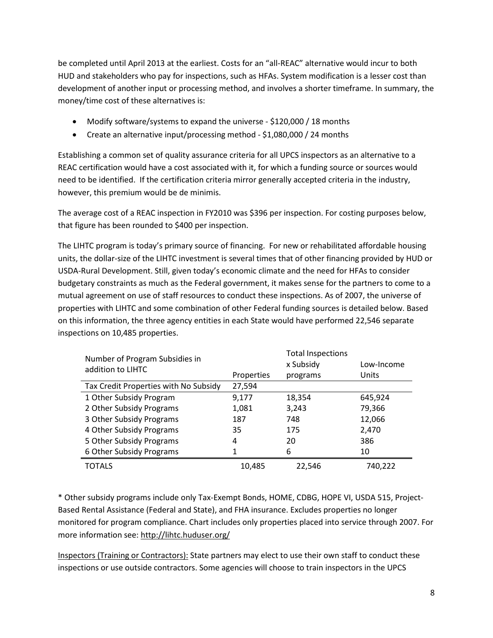be completed until April 2013 at the earliest. Costs for an "all-REAC" alternative would incur to both HUD and stakeholders who pay for inspections, such as HFAs. System modification is a lesser cost than development of another input or processing method, and involves a shorter timeframe. In summary, the money/time cost of these alternatives is:

- Modify software/systems to expand the universe \$120,000 / 18 months
- Create an alternative input/processing method \$1,080,000 / 24 months

Establishing a common set of quality assurance criteria for all UPCS inspectors as an alternative to a REAC certification would have a cost associated with it, for which a funding source or sources would need to be identified. If the certification criteria mirror generally accepted criteria in the industry, however, this premium would be de minimis.

The average cost of a REAC inspection in FY2010 was \$396 per inspection. For costing purposes below, that figure has been rounded to \$400 per inspection.

The LIHTC program is today's primary source of financing. For new or rehabilitated affordable housing units, the dollar-size of the LIHTC investment is several times that of other financing provided by HUD or USDA-Rural Development. Still, given today's economic climate and the need for HFAs to consider budgetary constraints as much as the Federal government, it makes sense for the partners to come to a mutual agreement on use of staff resources to conduct these inspections. As of 2007, the universe of properties with LIHTC and some combination of other Federal funding sources is detailed below. Based on this information, the three agency entities in each State would have performed 22,546 separate inspections on 10,485 properties.

| Number of Program Subsidies in<br>addition to LIHTC |            | <b>Total Inspections</b><br>x Subsidy | Low-Income |
|-----------------------------------------------------|------------|---------------------------------------|------------|
|                                                     | Properties | programs                              | Units      |
| Tax Credit Properties with No Subsidy               | 27,594     |                                       |            |
| 1 Other Subsidy Program                             | 9,177      | 18,354                                | 645,924    |
| 2 Other Subsidy Programs                            | 1,081      | 3,243                                 | 79,366     |
| 3 Other Subsidy Programs                            | 187        | 748                                   | 12,066     |
| 4 Other Subsidy Programs                            | 35         | 175                                   | 2,470      |
| 5 Other Subsidy Programs                            | 4          | 20                                    | 386        |
| 6 Other Subsidy Programs                            | 1          | 6                                     | 10         |
| TOTALS                                              | 10,485     | 22,546                                | 740,222    |

\* Other subsidy programs include only Tax-Exempt Bonds, HOME, CDBG, HOPE VI, USDA 515, Project-Based Rental Assistance (Federal and State), and FHA insurance. Excludes properties no longer monitored for program compliance. Chart includes only properties placed into service through 2007. For more information see[: http://lihtc.huduser.org/](http://lihtc.huduser.org/)

Inspectors (Training or Contractors): State partners may elect to use their own staff to conduct these inspections or use outside contractors. Some agencies will choose to train inspectors in the UPCS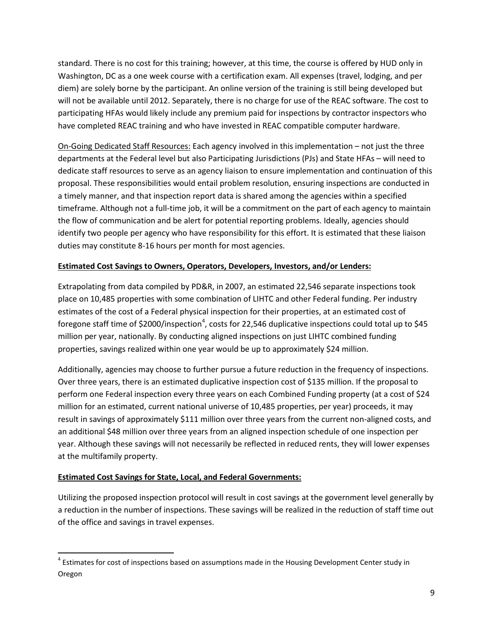standard. There is no cost for this training; however, at this time, the course is offered by HUD only in Washington, DC as a one week course with a certification exam. All expenses (travel, lodging, and per diem) are solely borne by the participant. An online version of the training is still being developed but will not be available until 2012. Separately, there is no charge for use of the REAC software. The cost to participating HFAs would likely include any premium paid for inspections by contractor inspectors who have completed REAC training and who have invested in REAC compatible computer hardware.

On-Going Dedicated Staff Resources: Each agency involved in this implementation – not just the three departments at the Federal level but also Participating Jurisdictions (PJs) and State HFAs – will need to dedicate staff resources to serve as an agency liaison to ensure implementation and continuation of this proposal. These responsibilities would entail problem resolution, ensuring inspections are conducted in a timely manner, and that inspection report data is shared among the agencies within a specified timeframe. Although not a full-time job, it will be a commitment on the part of each agency to maintain the flow of communication and be alert for potential reporting problems. Ideally, agencies should identify two people per agency who have responsibility for this effort. It is estimated that these liaison duties may constitute 8-16 hours per month for most agencies.

# **Estimated Cost Savings to Owners, Operators, Developers, Investors, and/or Lenders:**

Extrapolating from data compiled by PD&R, in 2007, an estimated 22,546 separate inspections took place on 10,485 properties with some combination of LIHTC and other Federal funding. Per industry estimates of the cost of a Federal physical inspection for their properties, at an estimated cost of foregone staff time of \$2000/inspection<sup>[4](#page-8-0)</sup>, costs for 22,546 duplicative inspections could total up to \$45 million per year, nationally. By conducting aligned inspections on just LIHTC combined funding properties, savings realized within one year would be up to approximately \$24 million.

Additionally, agencies may choose to further pursue a future reduction in the frequency of inspections. Over three years, there is an estimated duplicative inspection cost of \$135 million. If the proposal to perform one Federal inspection every three years on each Combined Funding property (at a cost of \$24 million for an estimated, current national universe of 10,485 properties, per year) proceeds, it may result in savings of approximately \$111 million over three years from the current non-aligned costs, and an additional \$48 million over three years from an aligned inspection schedule of one inspection per year. Although these savings will not necessarily be reflected in reduced rents, they will lower expenses at the multifamily property.

#### **Estimated Cost Savings for State, Local, and Federal Governments:**

Utilizing the proposed inspection protocol will result in cost savings at the government level generally by a reduction in the number of inspections. These savings will be realized in the reduction of staff time out of the office and savings in travel expenses.

<span id="page-8-0"></span> $4$  Estimates for cost of inspections based on assumptions made in the Housing Development Center study in Oregon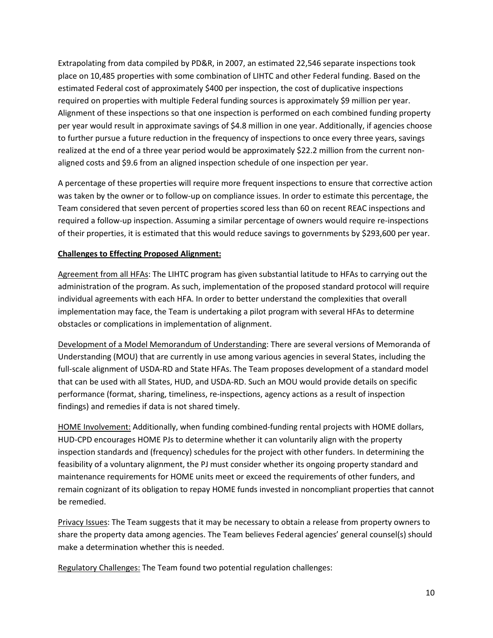Extrapolating from data compiled by PD&R, in 2007, an estimated 22,546 separate inspections took place on 10,485 properties with some combination of LIHTC and other Federal funding. Based on the estimated Federal cost of approximately \$400 per inspection, the cost of duplicative inspections required on properties with multiple Federal funding sources is approximately \$9 million per year. Alignment of these inspections so that one inspection is performed on each combined funding property per year would result in approximate savings of \$4.8 million in one year. Additionally, if agencies choose to further pursue a future reduction in the frequency of inspections to once every three years, savings realized at the end of a three year period would be approximately \$22.2 million from the current nonaligned costs and \$9.6 from an aligned inspection schedule of one inspection per year.

A percentage of these properties will require more frequent inspections to ensure that corrective action was taken by the owner or to follow-up on compliance issues. In order to estimate this percentage, the Team considered that seven percent of properties scored less than 60 on recent REAC inspections and required a follow-up inspection. Assuming a similar percentage of owners would require re-inspections of their properties, it is estimated that this would reduce savings to governments by \$293,600 per year.

## **Challenges to Effecting Proposed Alignment:**

Agreement from all HFAs: The LIHTC program has given substantial latitude to HFAs to carrying out the administration of the program. As such, implementation of the proposed standard protocol will require individual agreements with each HFA. In order to better understand the complexities that overall implementation may face, the Team is undertaking a pilot program with several HFAs to determine obstacles or complications in implementation of alignment.

Development of a Model Memorandum of Understanding: There are several versions of Memoranda of Understanding (MOU) that are currently in use among various agencies in several States, including the full-scale alignment of USDA-RD and State HFAs. The Team proposes development of a standard model that can be used with all States, HUD, and USDA-RD. Such an MOU would provide details on specific performance (format, sharing, timeliness, re-inspections, agency actions as a result of inspection findings) and remedies if data is not shared timely.

HOME Involvement: Additionally, when funding combined-funding rental projects with HOME dollars, HUD-CPD encourages HOME PJs to determine whether it can voluntarily align with the property inspection standards and (frequency) schedules for the project with other funders. In determining the feasibility of a voluntary alignment, the PJ must consider whether its ongoing property standard and maintenance requirements for HOME units meet or exceed the requirements of other funders, and remain cognizant of its obligation to repay HOME funds invested in noncompliant properties that cannot be remedied.

Privacy Issues: The Team suggests that it may be necessary to obtain a release from property owners to share the property data among agencies. The Team believes Federal agencies' general counsel(s) should make a determination whether this is needed.

Regulatory Challenges: The Team found two potential regulation challenges: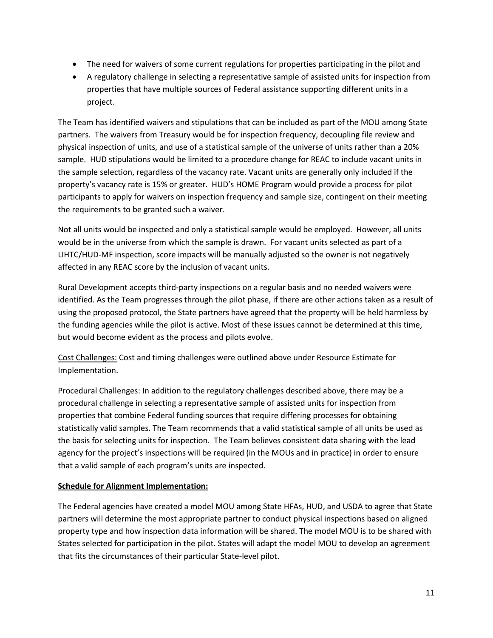- The need for waivers of some current regulations for properties participating in the pilot and
- A regulatory challenge in selecting a representative sample of assisted units for inspection from properties that have multiple sources of Federal assistance supporting different units in a project.

The Team has identified waivers and stipulations that can be included as part of the MOU among State partners. The waivers from Treasury would be for inspection frequency, decoupling file review and physical inspection of units, and use of a statistical sample of the universe of units rather than a 20% sample. HUD stipulations would be limited to a procedure change for REAC to include vacant units in the sample selection, regardless of the vacancy rate. Vacant units are generally only included if the property's vacancy rate is 15% or greater. HUD's HOME Program would provide a process for pilot participants to apply for waivers on inspection frequency and sample size, contingent on their meeting the requirements to be granted such a waiver.

Not all units would be inspected and only a statistical sample would be employed. However, all units would be in the universe from which the sample is drawn. For vacant units selected as part of a LIHTC/HUD-MF inspection, score impacts will be manually adjusted so the owner is not negatively affected in any REAC score by the inclusion of vacant units.

Rural Development accepts third-party inspections on a regular basis and no needed waivers were identified. As the Team progresses through the pilot phase, if there are other actions taken as a result of using the proposed protocol, the State partners have agreed that the property will be held harmless by the funding agencies while the pilot is active. Most of these issues cannot be determined at this time, but would become evident as the process and pilots evolve.

Cost Challenges: Cost and timing challenges were outlined above under Resource Estimate for Implementation.

Procedural Challenges: In addition to the regulatory challenges described above, there may be a procedural challenge in selecting a representative sample of assisted units for inspection from properties that combine Federal funding sources that require differing processes for obtaining statistically valid samples. The Team recommends that a valid statistical sample of all units be used as the basis for selecting units for inspection. The Team believes consistent data sharing with the lead agency for the project's inspections will be required (in the MOUs and in practice) in order to ensure that a valid sample of each program's units are inspected.

#### **Schedule for Alignment Implementation:**

The Federal agencies have created a model MOU among State HFAs, HUD, and USDA to agree that State partners will determine the most appropriate partner to conduct physical inspections based on aligned property type and how inspection data information will be shared. The model MOU is to be shared with States selected for participation in the pilot. States will adapt the model MOU to develop an agreement that fits the circumstances of their particular State-level pilot.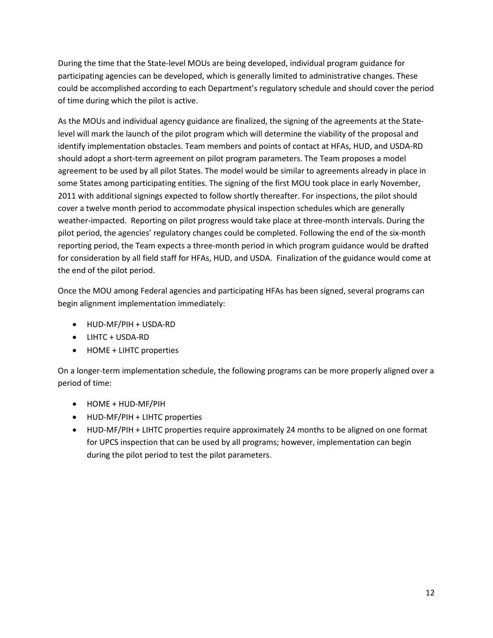During the time that the State-level MOUs are being developed, individual program guidance for participating agencies can be developed, which is generally limited to administrative changes. These could be accomplished according to each Department's regulatory schedule and should cover the period of time during which the pilot is active.

As the MOUs and individual agency guidance are finalized, the signing of the agreements at the Statelevel will mark the launch of the pilot program which will determine the viability of the proposal and identify implementation obstacles. Team members and points of contact at HFAs, HUD, and USDA-RD should adopt a short-term agreement on pilot program parameters. The Team proposes a model agreement to be used by all pilot States. The model would be similar to agreements already in place in some States among participating entities. The signing of the first MOU took place in early November, 2011 with additional signings expected to follow shortly thereafter. For inspections, the pilot should cover a twelve month period to accommodate physical inspection schedules which are generally weather-impacted. Reporting on pilot progress would take place at three-month intervals. During the pilot period, the agencies' regulatory changes could be completed. Following the end of the six-month reporting period, the Team expects a three-month period in which program guidance would be drafted for consideration by all field staff for HFAs, HUD, and USDA. Finalization of the guidance would come at the end of the pilot period.

Once the MOU among Federal agencies and participating HFAs has been signed, several programs can begin alignment implementation immediately:

- HUD-MF/PIH + USDA-RD
- LIHTC + USDA-RD
- HOME + LIHTC properties

On a longer-term implementation schedule, the following programs can be more properly aligned over a period of time:

- HOME + HUD-MF/PIH
- HUD-MF/PIH + LIHTC properties
- HUD-MF/PIH + LIHTC properties require approximately 24 months to be aligned on one format for UPCS inspection that can be used by all programs; however, implementation can begin during the pilot period to test the pilot parameters.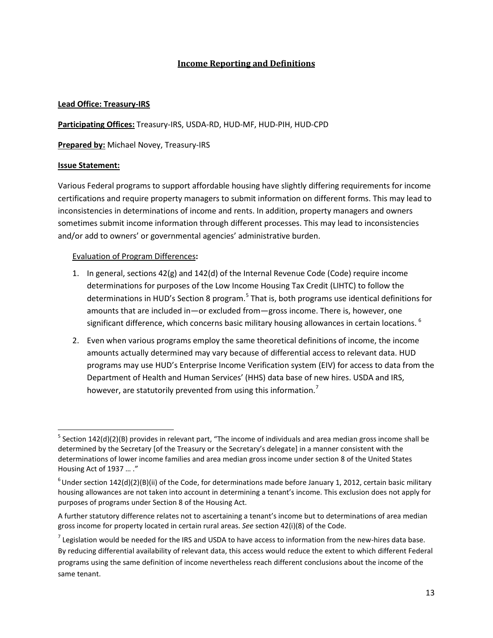# **Income Reporting and Definitions**

## **Lead Office: Treasury-IRS**

**Participating Offices:** Treasury-IRS, USDA-RD, HUD-MF, HUD-PIH, HUD-CPD

**Prepared by:** Michael Novey, Treasury-IRS

## **Issue Statement:**

Various Federal programs to support affordable housing have slightly differing requirements for income certifications and require property managers to submit information on different forms. This may lead to inconsistencies in determinations of income and rents. In addition, property managers and owners sometimes submit income information through different processes. This may lead to inconsistencies and/or add to owners' or governmental agencies' administrative burden.

## Evaluation of Program Differences**:**

- 1. In general, sections 42(g) and 142(d) of the Internal Revenue Code (Code) require income determinations for purposes of the Low Income Housing Tax Credit (LIHTC) to follow the determinations in HUD's Section 8 program.<sup>[5](#page-12-0)</sup> That is, both programs use identical definitions for amounts that are included in—or excluded from—gross income. There is, however, one significant difference, which concerns basic military housing allowances in certain locations.<sup>[6](#page-12-1)</sup>
- 2. Even when various programs employ the same theoretical definitions of income, the income amounts actually determined may vary because of differential access to relevant data. HUD programs may use HUD's Enterprise Income Verification system (EIV) for access to data from the Department of Health and Human Services' (HHS) data base of new hires. USDA and IRS, however, are statutorily prevented from using this information.<sup>[7](#page-12-2)</sup>

<span id="page-12-0"></span> $5$  Section 142(d)(2)(B) provides in relevant part, "The income of individuals and area median gross income shall be determined by the Secretary [of the Treasury or the Secretary's delegate] in a manner consistent with the determinations of lower income families and area median gross income under section 8 of the United States Housing Act of 1937 … ."

<span id="page-12-1"></span> $^6$ Under section 142(d)(2)(B)(ii) of the Code, for determinations made before January 1, 2012, certain basic military housing allowances are not taken into account in determining a tenant's income. This exclusion does not apply for purposes of programs under Section 8 of the Housing Act.

A further statutory difference relates not to ascertaining a tenant's income but to determinations of area median gross income for property located in certain rural areas. *See* section 42(i)(8) of the Code.

<span id="page-12-2"></span> $<sup>7</sup>$  Legislation would be needed for the IRS and USDA to have access to information from the new-hires data base.</sup> By reducing differential availability of relevant data, this access would reduce the extent to which different Federal programs using the same definition of income nevertheless reach different conclusions about the income of the same tenant.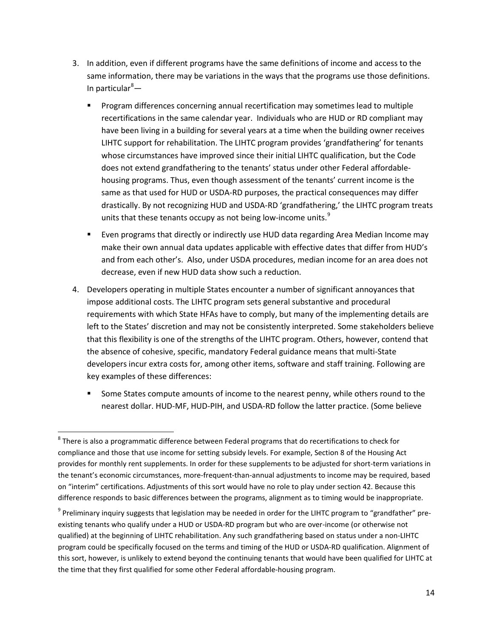- 3. In addition, even if different programs have the same definitions of income and access to the same information, there may be variations in the ways that the programs use those definitions. In particular<sup>[8](#page-13-0)</sup>—
	- **Program differences concerning annual recertification may sometimes lead to multiple** recertifications in the same calendar year. Individuals who are HUD or RD compliant may have been living in a building for several years at a time when the building owner receives LIHTC support for rehabilitation. The LIHTC program provides 'grandfathering' for tenants whose circumstances have improved since their initial LIHTC qualification, but the Code does not extend grandfathering to the tenants' status under other Federal affordablehousing programs. Thus, even though assessment of the tenants' current income is the same as that used for HUD or USDA-RD purposes, the practical consequences may differ drastically. By not recognizing HUD and USDA-RD 'grandfathering,' the LIHTC program treats units that these tenants occupy as not being low-income units.<sup>[9](#page-13-1)</sup>
	- **Exen programs that directly or indirectly use HUD data regarding Area Median Income may** make their own annual data updates applicable with effective dates that differ from HUD's and from each other's. Also, under USDA procedures, median income for an area does not decrease, even if new HUD data show such a reduction.
- 4. Developers operating in multiple States encounter a number of significant annoyances that impose additional costs. The LIHTC program sets general substantive and procedural requirements with which State HFAs have to comply, but many of the implementing details are left to the States' discretion and may not be consistently interpreted. Some stakeholders believe that this flexibility is one of the strengths of the LIHTC program. Others, however, contend that the absence of cohesive, specific, mandatory Federal guidance means that multi-State developers incur extra costs for, among other items, software and staff training. Following are key examples of these differences:
	- **Some States compute amounts of income to the nearest penny, while others round to the** nearest dollar. HUD-MF, HUD-PIH, and USDA-RD follow the latter practice. (Some believe

<span id="page-13-0"></span> $8$  There is also a programmatic difference between Federal programs that do recertifications to check for compliance and those that use income for setting subsidy levels. For example, Section 8 of the Housing Act provides for monthly rent supplements. In order for these supplements to be adjusted for short-term variations in the tenant's economic circumstances, more-frequent-than-annual adjustments to income may be required, based on "interim" certifications. Adjustments of this sort would have no role to play under section 42. Because this difference responds to basic differences between the programs, alignment as to timing would be inappropriate.

<span id="page-13-1"></span><sup>&</sup>lt;sup>9</sup> Preliminary inquiry suggests that legislation may be needed in order for the LIHTC program to "grandfather" preexisting tenants who qualify under a HUD or USDA-RD program but who are over-income (or otherwise not qualified) at the beginning of LIHTC rehabilitation. Any such grandfathering based on status under a non-LIHTC program could be specifically focused on the terms and timing of the HUD or USDA-RD qualification. Alignment of this sort, however, is unlikely to extend beyond the continuing tenants that would have been qualified for LIHTC at the time that they first qualified for some other Federal affordable-housing program.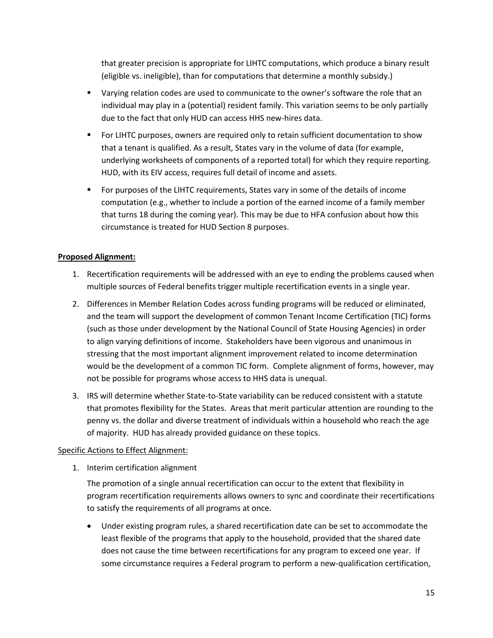that greater precision is appropriate for LIHTC computations, which produce a binary result (eligible vs. ineligible), than for computations that determine a monthly subsidy.)

- **U** Varying relation codes are used to communicate to the owner's software the role that an individual may play in a (potential) resident family. This variation seems to be only partially due to the fact that only HUD can access HHS new-hires data.
- For LIHTC purposes, owners are required only to retain sufficient documentation to show that a tenant is qualified. As a result, States vary in the volume of data (for example, underlying worksheets of components of a reported total) for which they require reporting. HUD, with its EIV access, requires full detail of income and assets.
- **For purposes of the LIHTC requirements, States vary in some of the details of income** computation (e.g., whether to include a portion of the earned income of a family member that turns 18 during the coming year). This may be due to HFA confusion about how this circumstance is treated for HUD Section 8 purposes.

# **Proposed Alignment:**

- 1. Recertification requirements will be addressed with an eye to ending the problems caused when multiple sources of Federal benefits trigger multiple recertification events in a single year.
- 2. Differences in Member Relation Codes across funding programs will be reduced or eliminated, and the team will support the development of common Tenant Income Certification (TIC) forms (such as those under development by the National Council of State Housing Agencies) in order to align varying definitions of income. Stakeholders have been vigorous and unanimous in stressing that the most important alignment improvement related to income determination would be the development of a common TIC form. Complete alignment of forms, however, may not be possible for programs whose access to HHS data is unequal.
- 3. IRS will determine whether State-to-State variability can be reduced consistent with a statute that promotes flexibility for the States. Areas that merit particular attention are rounding to the penny vs. the dollar and diverse treatment of individuals within a household who reach the age of majority. HUD has already provided guidance on these topics.

#### Specific Actions to Effect Alignment:

1. Interim certification alignment

The promotion of a single annual recertification can occur to the extent that flexibility in program recertification requirements allows owners to sync and coordinate their recertifications to satisfy the requirements of all programs at once.

• Under existing program rules, a shared recertification date can be set to accommodate the least flexible of the programs that apply to the household, provided that the shared date does not cause the time between recertifications for any program to exceed one year. If some circumstance requires a Federal program to perform a new-qualification certification,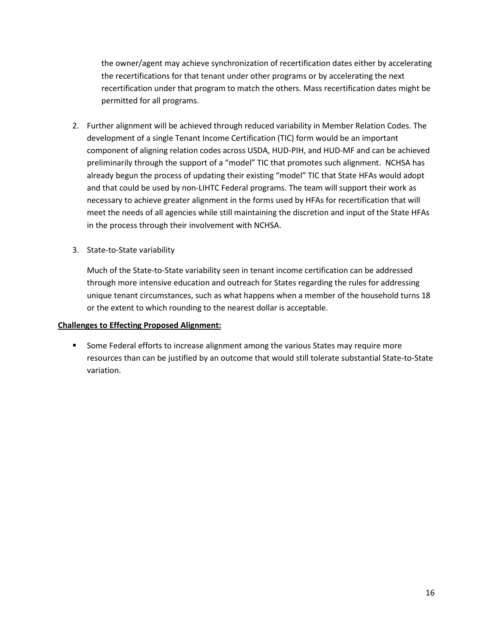the owner/agent may achieve synchronization of recertification dates either by accelerating the recertifications for that tenant under other programs or by accelerating the next recertification under that program to match the others. Mass recertification dates might be permitted for all programs.

- 2. Further alignment will be achieved through reduced variability in Member Relation Codes. The development of a single Tenant Income Certification (TIC) form would be an important component of aligning relation codes across USDA, HUD-PIH, and HUD-MF and can be achieved preliminarily through the support of a "model" TIC that promotes such alignment. NCHSA has already begun the process of updating their existing "model" TIC that State HFAs would adopt and that could be used by non-LIHTC Federal programs. The team will support their work as necessary to achieve greater alignment in the forms used by HFAs for recertification that will meet the needs of all agencies while still maintaining the discretion and input of the State HFAs in the process through their involvement with NCHSA.
- 3. State-to-State variability

Much of the State-to-State variability seen in tenant income certification can be addressed through more intensive education and outreach for States regarding the rules for addressing unique tenant circumstances, such as what happens when a member of the household turns 18 or the extent to which rounding to the nearest dollar is acceptable.

#### **Challenges to Effecting Proposed Alignment:**

**Some Federal efforts to increase alignment among the various States may require more** resources than can be justified by an outcome that would still tolerate substantial State-to-State variation.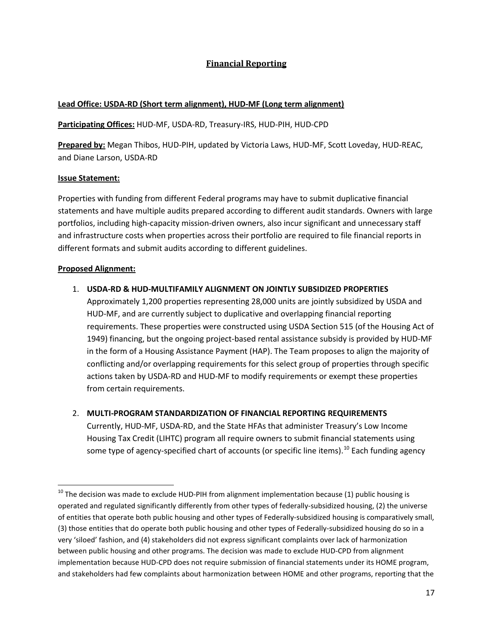# **Financial Reporting**

## **Lead Office: USDA-RD (Short term alignment), HUD-MF (Long term alignment)**

### **Participating Offices:** HUD-MF, USDA-RD, Treasury-IRS, HUD-PIH, HUD-CPD

**Prepared by:** Megan Thibos, HUD-PIH, updated by Victoria Laws, HUD-MF, Scott Loveday, HUD-REAC, and Diane Larson, USDA-RD

#### **Issue Statement:**

Properties with funding from different Federal programs may have to submit duplicative financial statements and have multiple audits prepared according to different audit standards. Owners with large portfolios, including high-capacity mission-driven owners, also incur significant and unnecessary staff and infrastructure costs when properties across their portfolio are required to file financial reports in different formats and submit audits according to different guidelines.

#### **Proposed Alignment:**

#### 1. **USDA-RD & HUD-MULTIFAMILY ALIGNMENT ON JOINTLY SUBSIDIZED PROPERTIES**

Approximately 1,200 properties representing 28,000 units are jointly subsidized by USDA and HUD-MF, and are currently subject to duplicative and overlapping financial reporting requirements. These properties were constructed using USDA Section 515 (of the Housing Act of 1949) financing, but the ongoing project-based rental assistance subsidy is provided by HUD-MF in the form of a Housing Assistance Payment (HAP). The Team proposes to align the majority of conflicting and/or overlapping requirements for this select group of properties through specific actions taken by USDA-RD and HUD-MF to modify requirements or exempt these properties from certain requirements.

#### 2. **MULTI-PROGRAM STANDARDIZATION OF FINANCIAL REPORTING REQUIREMENTS**

Currently, HUD-MF, USDA-RD, and the State HFAs that administer Treasury's Low Income Housing Tax Credit (LIHTC) program all require owners to submit financial statements using some type of agency-specified chart of accounts (or specific line items).<sup>[10](#page-16-0)</sup> Each funding agency

<span id="page-16-0"></span> $10$  The decision was made to exclude HUD-PIH from alignment implementation because (1) public housing is operated and regulated significantly differently from other types of federally-subsidized housing, (2) the universe of entities that operate both public housing and other types of Federally-subsidized housing is comparatively small, (3) those entities that do operate both public housing and other types of Federally-subsidized housing do so in a very 'siloed' fashion, and (4) stakeholders did not express significant complaints over lack of harmonization between public housing and other programs. The decision was made to exclude HUD-CPD from alignment implementation because HUD-CPD does not require submission of financial statements under its HOME program, and stakeholders had few complaints about harmonization between HOME and other programs, reporting that the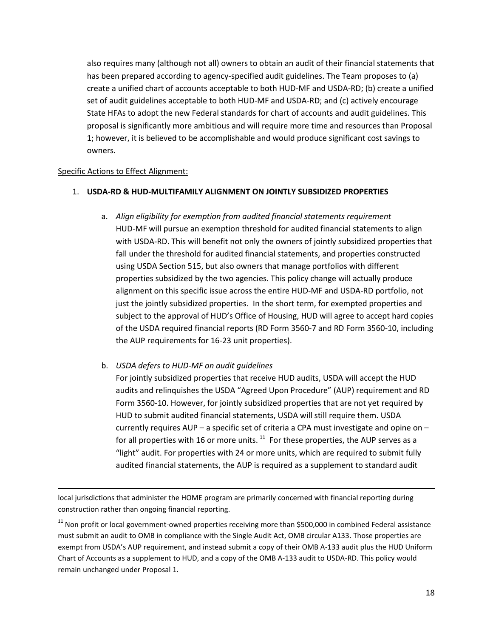also requires many (although not all) owners to obtain an audit of their financial statements that has been prepared according to agency-specified audit guidelines. The Team proposes to (a) create a unified chart of accounts acceptable to both HUD-MF and USDA-RD; (b) create a unified set of audit guidelines acceptable to both HUD-MF and USDA-RD; and (c) actively encourage State HFAs to adopt the new Federal standards for chart of accounts and audit guidelines. This proposal is significantly more ambitious and will require more time and resources than Proposal 1; however, it is believed to be accomplishable and would produce significant cost savings to owners.

#### Specific Actions to Effect Alignment:

ı

#### 1. **USDA-RD & HUD-MULTIFAMILY ALIGNMENT ON JOINTLY SUBSIDIZED PROPERTIES**

- a. *Align eligibility for exemption from audited financial statements requirement*  HUD-MF will pursue an exemption threshold for audited financial statements to align with USDA-RD. This will benefit not only the owners of jointly subsidized properties that fall under the threshold for audited financial statements, and properties constructed using USDA Section 515, but also owners that manage portfolios with different properties subsidized by the two agencies. This policy change will actually produce alignment on this specific issue across the entire HUD-MF and USDA-RD portfolio, not just the jointly subsidized properties. In the short term, for exempted properties and subject to the approval of HUD's Office of Housing, HUD will agree to accept hard copies of the USDA required financial reports (RD Form 3560-7 and RD Form 3560-10, including the AUP requirements for 16-23 unit properties).
- b. *USDA defers to HUD-MF on audit guidelines*

For jointly subsidized properties that receive HUD audits, USDA will accept the HUD audits and relinquishes the USDA "Agreed Upon Procedure" (AUP) requirement and RD Form 3560-10. However, for jointly subsidized properties that are not yet required by HUD to submit audited financial statements, USDA will still require them. USDA currently requires AUP – a specific set of criteria a CPA must investigate and opine on – for all properties with 16 or more units.  $^{11}$  $^{11}$  $^{11}$  For these properties, the AUP serves as a "light" audit. For properties with 24 or more units, which are required to submit fully audited financial statements, the AUP is required as a supplement to standard audit

local jurisdictions that administer the HOME program are primarily concerned with financial reporting during construction rather than ongoing financial reporting.

<span id="page-17-0"></span> $11$  Non profit or local government-owned properties receiving more than \$500,000 in combined Federal assistance must submit an audit to OMB in compliance with the Single Audit Act, OMB circular A133. Those properties are exempt from USDA's AUP requirement, and instead submit a copy of their OMB A-133 audit plus the HUD Uniform Chart of Accounts as a supplement to HUD, and a copy of the OMB A-133 audit to USDA-RD. This policy would remain unchanged under Proposal 1.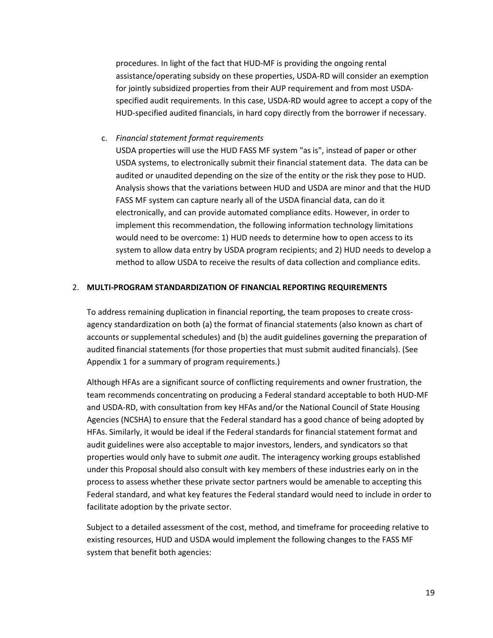procedures. In light of the fact that HUD-MF is providing the ongoing rental assistance/operating subsidy on these properties, USDA-RD will consider an exemption for jointly subsidized properties from their AUP requirement and from most USDAspecified audit requirements. In this case, USDA-RD would agree to accept a copy of the HUD-specified audited financials, in hard copy directly from the borrower if necessary.

#### c. *Financial statement format requirements*

USDA properties will use the HUD FASS MF system "as is", instead of paper or other USDA systems, to electronically submit their financial statement data. The data can be audited or unaudited depending on the size of the entity or the risk they pose to HUD. Analysis shows that the variations between HUD and USDA are minor and that the HUD FASS MF system can capture nearly all of the USDA financial data, can do it electronically, and can provide automated compliance edits. However, in order to implement this recommendation, the following information technology limitations would need to be overcome: 1) HUD needs to determine how to open access to its system to allow data entry by USDA program recipients; and 2) HUD needs to develop a method to allow USDA to receive the results of data collection and compliance edits.

#### 2. **MULTI-PROGRAM STANDARDIZATION OF FINANCIAL REPORTING REQUIREMENTS**

To address remaining duplication in financial reporting, the team proposes to create crossagency standardization on both (a) the format of financial statements (also known as chart of accounts or supplemental schedules) and (b) the audit guidelines governing the preparation of audited financial statements (for those properties that must submit audited financials). (See Appendix 1 for a summary of program requirements.)

Although HFAs are a significant source of conflicting requirements and owner frustration, the team recommends concentrating on producing a Federal standard acceptable to both HUD-MF and USDA-RD, with consultation from key HFAs and/or the National Council of State Housing Agencies (NCSHA) to ensure that the Federal standard has a good chance of being adopted by HFAs. Similarly, it would be ideal if the Federal standards for financial statement format and audit guidelines were also acceptable to major investors, lenders, and syndicators so that properties would only have to submit *one* audit. The interagency working groups established under this Proposal should also consult with key members of these industries early on in the process to assess whether these private sector partners would be amenable to accepting this Federal standard, and what key features the Federal standard would need to include in order to facilitate adoption by the private sector.

Subject to a detailed assessment of the cost, method, and timeframe for proceeding relative to existing resources, HUD and USDA would implement the following changes to the FASS MF system that benefit both agencies: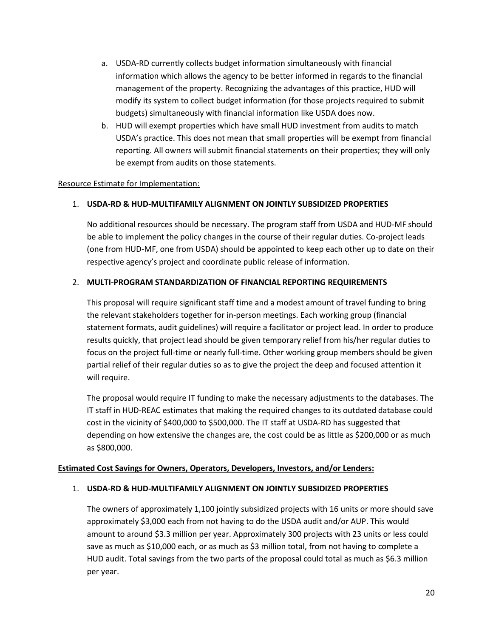- a. USDA-RD currently collects budget information simultaneously with financial information which allows the agency to be better informed in regards to the financial management of the property. Recognizing the advantages of this practice, HUD will modify its system to collect budget information (for those projects required to submit budgets) simultaneously with financial information like USDA does now.
- b. HUD will exempt properties which have small HUD investment from audits to match USDA's practice. This does not mean that small properties will be exempt from financial reporting. All owners will submit financial statements on their properties; they will only be exempt from audits on those statements.

## Resource Estimate for Implementation:

## 1. **USDA-RD & HUD-MULTIFAMILY ALIGNMENT ON JOINTLY SUBSIDIZED PROPERTIES**

No additional resources should be necessary. The program staff from USDA and HUD-MF should be able to implement the policy changes in the course of their regular duties. Co-project leads (one from HUD-MF, one from USDA) should be appointed to keep each other up to date on their respective agency's project and coordinate public release of information.

#### 2. **MULTI-PROGRAM STANDARDIZATION OF FINANCIAL REPORTING REQUIREMENTS**

This proposal will require significant staff time and a modest amount of travel funding to bring the relevant stakeholders together for in-person meetings. Each working group (financial statement formats, audit guidelines) will require a facilitator or project lead. In order to produce results quickly, that project lead should be given temporary relief from his/her regular duties to focus on the project full-time or nearly full-time. Other working group members should be given partial relief of their regular duties so as to give the project the deep and focused attention it will require.

The proposal would require IT funding to make the necessary adjustments to the databases. The IT staff in HUD-REAC estimates that making the required changes to its outdated database could cost in the vicinity of \$400,000 to \$500,000. The IT staff at USDA-RD has suggested that depending on how extensive the changes are, the cost could be as little as \$200,000 or as much as \$800,000.

#### **Estimated Cost Savings for Owners, Operators, Developers, Investors, and/or Lenders:**

#### 1. **USDA-RD & HUD-MULTIFAMILY ALIGNMENT ON JOINTLY SUBSIDIZED PROPERTIES**

The owners of approximately 1,100 jointly subsidized projects with 16 units or more should save approximately \$3,000 each from not having to do the USDA audit and/or AUP. This would amount to around \$3.3 million per year. Approximately 300 projects with 23 units or less could save as much as \$10,000 each, or as much as \$3 million total, from not having to complete a HUD audit. Total savings from the two parts of the proposal could total as much as \$6.3 million per year.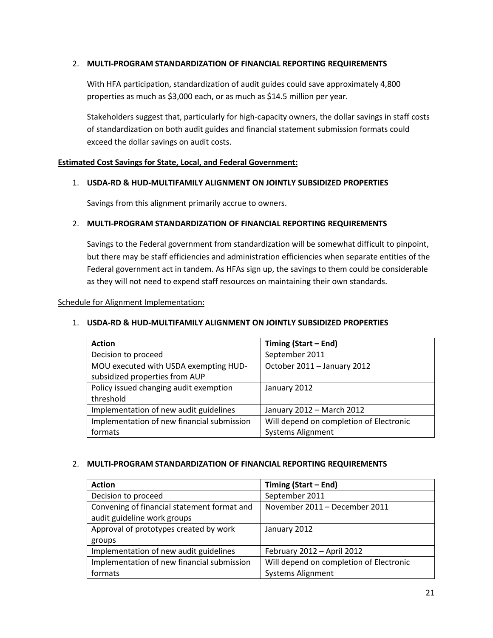## 2. **MULTI-PROGRAM STANDARDIZATION OF FINANCIAL REPORTING REQUIREMENTS**

With HFA participation, standardization of audit guides could save approximately 4,800 properties as much as \$3,000 each, or as much as \$14.5 million per year.

Stakeholders suggest that, particularly for high-capacity owners, the dollar savings in staff costs of standardization on both audit guides and financial statement submission formats could exceed the dollar savings on audit costs.

#### **Estimated Cost Savings for State, Local, and Federal Government:**

#### 1. **USDA-RD & HUD-MULTIFAMILY ALIGNMENT ON JOINTLY SUBSIDIZED PROPERTIES**

Savings from this alignment primarily accrue to owners.

#### 2. **MULTI-PROGRAM STANDARDIZATION OF FINANCIAL REPORTING REQUIREMENTS**

Savings to the Federal government from standardization will be somewhat difficult to pinpoint, but there may be staff efficiencies and administration efficiencies when separate entities of the Federal government act in tandem. As HFAs sign up, the savings to them could be considerable as they will not need to expend staff resources on maintaining their own standards.

#### Schedule for Alignment Implementation:

#### 1. **USDA-RD & HUD-MULTIFAMILY ALIGNMENT ON JOINTLY SUBSIDIZED PROPERTIES**

| <b>Action</b>                                                           | Timing (Start - End)                    |
|-------------------------------------------------------------------------|-----------------------------------------|
| Decision to proceed                                                     | September 2011                          |
| MOU executed with USDA exempting HUD-<br>subsidized properties from AUP | October 2011 - January 2012             |
| Policy issued changing audit exemption<br>threshold                     | January 2012                            |
| Implementation of new audit guidelines                                  | January 2012 - March 2012               |
| Implementation of new financial submission                              | Will depend on completion of Electronic |
| formats                                                                 | <b>Systems Alignment</b>                |

#### 2. **MULTI-PROGRAM STANDARDIZATION OF FINANCIAL REPORTING REQUIREMENTS**

| <b>Action</b>                               | Timing (Start – End)                    |
|---------------------------------------------|-----------------------------------------|
| Decision to proceed                         | September 2011                          |
| Convening of financial statement format and | November 2011 - December 2011           |
| audit guideline work groups                 |                                         |
| Approval of prototypes created by work      | January 2012                            |
| groups                                      |                                         |
| Implementation of new audit guidelines      | February 2012 - April 2012              |
| Implementation of new financial submission  | Will depend on completion of Electronic |
| formats                                     | <b>Systems Alignment</b>                |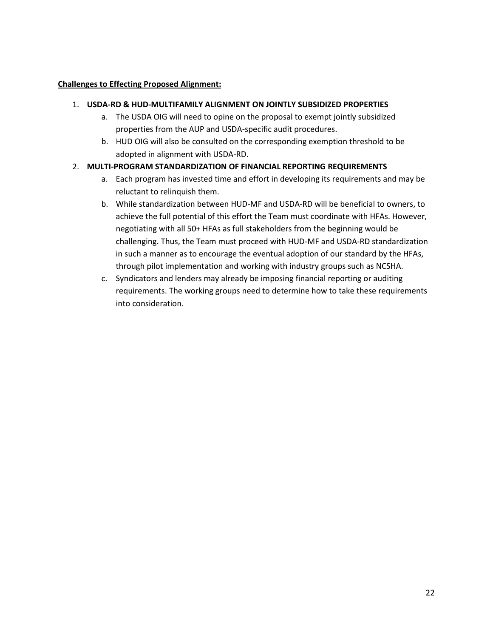## **Challenges to Effecting Proposed Alignment:**

### 1. **USDA-RD & HUD-MULTIFAMILY ALIGNMENT ON JOINTLY SUBSIDIZED PROPERTIES**

- a. The USDA OIG will need to opine on the proposal to exempt jointly subsidized properties from the AUP and USDA-specific audit procedures.
- b. HUD OIG will also be consulted on the corresponding exemption threshold to be adopted in alignment with USDA-RD.

# 2. **MULTI-PROGRAM STANDARDIZATION OF FINANCIAL REPORTING REQUIREMENTS**

- a. Each program has invested time and effort in developing its requirements and may be reluctant to relinquish them.
- b. While standardization between HUD-MF and USDA-RD will be beneficial to owners, to achieve the full potential of this effort the Team must coordinate with HFAs. However, negotiating with all 50+ HFAs as full stakeholders from the beginning would be challenging. Thus, the Team must proceed with HUD-MF and USDA-RD standardization in such a manner as to encourage the eventual adoption of our standard by the HFAs, through pilot implementation and working with industry groups such as NCSHA.
- c. Syndicators and lenders may already be imposing financial reporting or auditing requirements. The working groups need to determine how to take these requirements into consideration.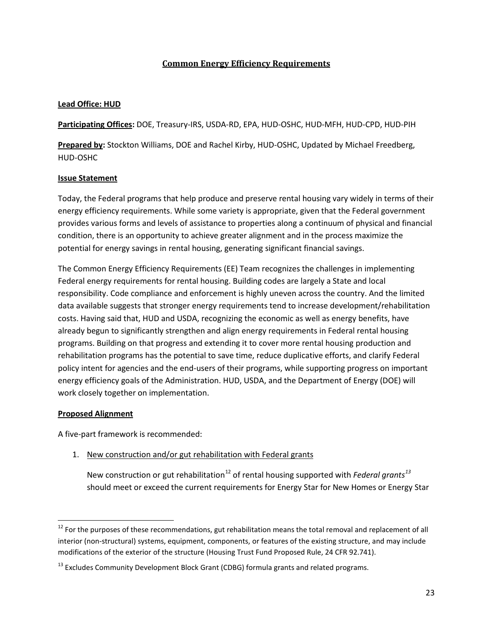# **Common Energy Efficiency Requirements**

## **Lead Office: HUD**

**Participating Offices:** DOE, Treasury-IRS, USDA-RD, EPA, HUD-OSHC, HUD-MFH, HUD-CPD, HUD-PIH

**Prepared by:** Stockton Williams, DOE and Rachel Kirby, HUD-OSHC, Updated by Michael Freedberg, HUD-OSHC

## **Issue Statement**

Today, the Federal programs that help produce and preserve rental housing vary widely in terms of their energy efficiency requirements. While some variety is appropriate, given that the Federal government provides various forms and levels of assistance to properties along a continuum of physical and financial condition, there is an opportunity to achieve greater alignment and in the process maximize the potential for energy savings in rental housing, generating significant financial savings.

The Common Energy Efficiency Requirements (EE) Team recognizes the challenges in implementing Federal energy requirements for rental housing. Building codes are largely a State and local responsibility. Code compliance and enforcement is highly uneven across the country. And the limited data available suggests that stronger energy requirements tend to increase development/rehabilitation costs. Having said that, HUD and USDA, recognizing the economic as well as energy benefits, have already begun to significantly strengthen and align energy requirements in Federal rental housing programs. Building on that progress and extending it to cover more rental housing production and rehabilitation programs has the potential to save time, reduce duplicative efforts, and clarify Federal policy intent for agencies and the end-users of their programs, while supporting progress on important energy efficiency goals of the Administration. HUD, USDA, and the Department of Energy (DOE) will work closely together on implementation.

#### **Proposed Alignment**

A five-part framework is recommended:

1. New construction and/or gut rehabilitation with Federal grants

New construction or gut rehabilitation<sup>[12](#page-22-0)</sup> of rental housing supported with *Federal grants*<sup>[13](#page-22-1)</sup> should meet or exceed the current requirements for Energy Star for New Homes or Energy Star

<span id="page-22-0"></span><sup>&</sup>lt;sup>12</sup> For the purposes of these recommendations, gut rehabilitation means the total removal and replacement of all interior (non-structural) systems, equipment, components, or features of the existing structure, and may include modifications of the exterior of the structure (Housing Trust Fund Proposed Rule, 24 CFR 92.741).

<span id="page-22-1"></span> $^{13}$  Excludes Community Development Block Grant (CDBG) formula grants and related programs.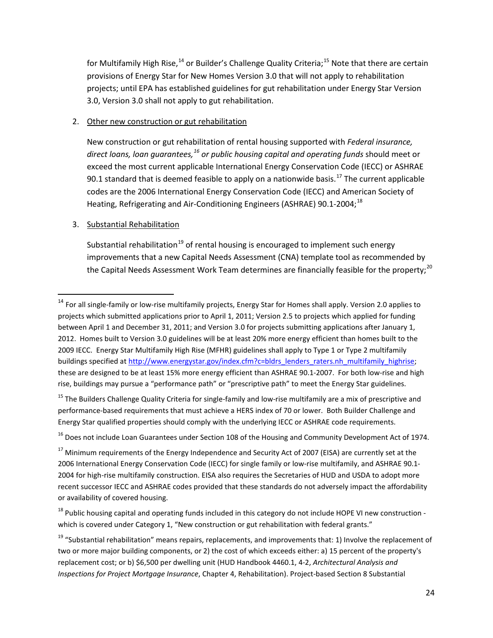for Multifamily High Rise,  $^{14}$  $^{14}$  $^{14}$  or Builder's Challenge Quality Criteria;  $^{15}$  $^{15}$  $^{15}$  Note that there are certain provisions of Energy Star for New Homes Version 3.0 that will not apply to rehabilitation projects; until EPA has established guidelines for gut rehabilitation under Energy Star Version 3.0, Version 3.0 shall not apply to gut rehabilitation.

### 2. Other new construction or gut rehabilitation

New construction or gut rehabilitation of rental housing supported with *Federal insurance, direct loans, loan guarantees,[16](#page-23-2) or public housing capital and operating funds* should meet or exceed the most current applicable International Energy Conservation Code (IECC) or ASHRAE 90.1 standard that is deemed feasible to apply on a nationwide basis.<sup>[17](#page-23-3)</sup> The current applicable codes are the 2006 International Energy Conservation Code (IECC) and American Society of Heating, Refrigerating and Air-Conditioning Engineers (ASHRAE) 90.1-2004;<sup>[18](#page-23-4)</sup>

## 3. Substantial Rehabilitation

Substantial rehabilitation<sup>[19](#page-23-5)</sup> of rental housing is encouraged to implement such energy improvements that a new Capital Needs Assessment (CNA) template tool as recommended by the Capital Needs Assessment Work Team determines are financially feasible for the property;<sup>[20](#page-23-6)</sup>

<span id="page-23-1"></span><sup>15</sup> The Builders Challenge Quality Criteria for single-family and low-rise multifamily are a mix of prescriptive and performance-based requirements that must achieve a HERS index of 70 or lower. Both Builder Challenge and Energy Star qualified properties should comply with the underlying IECC or ASHRAE code requirements.

<span id="page-23-2"></span><sup>16</sup> Does not include Loan Guarantees under Section 108 of the Housing and Community Development Act of 1974.

<span id="page-23-0"></span> $14$  For all single-family or low-rise multifamily projects, Energy Star for Homes shall apply. Version 2.0 applies to projects which submitted applications prior to April 1, 2011; Version 2.5 to projects which applied for funding between April 1 and December 31, 2011; and Version 3.0 for projects submitting applications after January 1, 2012. Homes built to Version 3.0 guidelines will be at least 20% more energy efficient than homes built to the 2009 IECC. Energy Star Multifamily High Rise (MFHR) guidelines shall apply to Type 1 or Type 2 multifamily buildings specified a[t http://www.energystar.gov/index.cfm?c=bldrs\\_lenders\\_raters.nh\\_multifamily\\_highrise;](http://www.energystar.gov/index.cfm?c=bldrs_lenders_raters.nh_multifamily_highrise) these are designed to be at least 15% more energy efficient than ASHRAE 90.1-2007. For both low-rise and high rise, buildings may pursue a "performance path" or "prescriptive path" to meet the Energy Star guidelines.

<span id="page-23-6"></span><span id="page-23-3"></span><sup>&</sup>lt;sup>17</sup> Minimum requirements of the Energy Independence and Security Act of 2007 (EISA) are currently set at the 2006 International Energy Conservation Code (IECC) for single family or low-rise multifamily, and ASHRAE 90.1- 2004 for high-rise multifamily construction. EISA also requires the Secretaries of HUD and USDA to adopt more recent successor IECC and ASHRAE codes provided that these standards do not adversely impact the affordability or availability of covered housing.

<span id="page-23-4"></span> $18$  Public housing capital and operating funds included in this category do not include HOPE VI new construction which is covered under Category 1, "New construction or gut rehabilitation with federal grants."

<span id="page-23-5"></span><sup>&</sup>lt;sup>19</sup> "Substantial rehabilitation" means repairs, replacements, and improvements that: 1) Involve the replacement of two or more major building components, or 2) the cost of which exceeds either: a) 15 percent of the property's replacement cost; or b) \$6,500 per dwelling unit (HUD Handbook 4460.1, 4-2, *Architectural Analysis and Inspections for Project Mortgage Insurance*, Chapter 4, Rehabilitation). Project-based Section 8 Substantial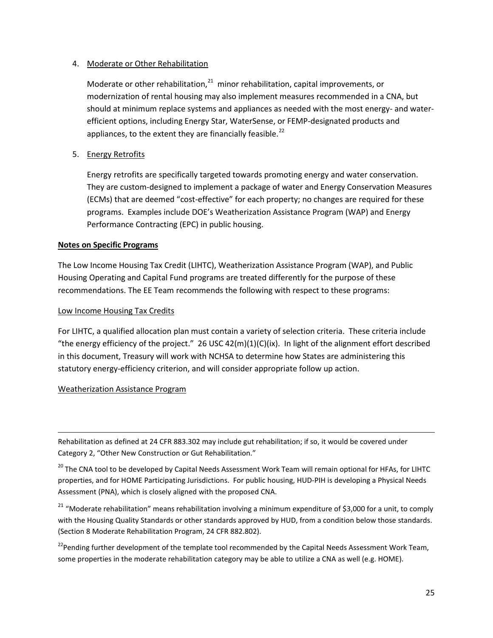### 4. Moderate or Other Rehabilitation

Moderate or other rehabilitation, $^{21}$  $^{21}$  $^{21}$  minor rehabilitation, capital improvements, or modernization of rental housing may also implement measures recommended in a CNA, but should at minimum replace systems and appliances as needed with the most energy- and waterefficient options, including Energy Star, WaterSense, or FEMP-designated products and appliances, to the extent they are financially feasible.<sup>[22](#page-24-1)</sup>

## 5. Energy Retrofits

Energy retrofits are specifically targeted towards promoting energy and water conservation. They are custom-designed to implement a package of water and Energy Conservation Measures (ECMs) that are deemed "cost-effective" for each property; no changes are required for these programs. Examples include DOE's Weatherization Assistance Program (WAP) and Energy Performance Contracting (EPC) in public housing.

#### **Notes on Specific Programs**

The Low Income Housing Tax Credit (LIHTC), Weatherization Assistance Program (WAP), and Public Housing Operating and Capital Fund programs are treated differently for the purpose of these recommendations. The EE Team recommends the following with respect to these programs:

#### Low Income Housing Tax Credits

For LIHTC, a qualified allocation plan must contain a variety of selection criteria. These criteria include "the energy efficiency of the project." 26 USC  $42(m)(1)(C)(ix)$ . In light of the alignment effort described in this document, Treasury will work with NCHSA to determine how States are administering this statutory energy-efficiency criterion, and will consider appropriate follow up action.

#### Weatherization Assistance Program

ı

Rehabilitation as defined at 24 CFR 883.302 may include gut rehabilitation; if so, it would be covered under Category 2, "Other New Construction or Gut Rehabilitation."

<sup>20</sup> The CNA tool to be developed by Capital Needs Assessment Work Team will remain optional for HFAs, for LIHTC properties, and for HOME Participating Jurisdictions. For public housing, HUD-PIH is developing a Physical Needs Assessment (PNA), which is closely aligned with the proposed CNA.

<span id="page-24-0"></span><sup>21</sup> "Moderate rehabilitation" means rehabilitation involving a minimum expenditure of \$3,000 for a unit, to comply with the Housing Quality Standards or other standards approved by HUD, from a condition below those standards. (Section 8 Moderate Rehabilitation Program, 24 CFR 882.802).

<span id="page-24-1"></span><sup>22</sup> Pending further development of the template tool recommended by the Capital Needs Assessment Work Team, some properties in the moderate rehabilitation category may be able to utilize a CNA as well (e.g. HOME).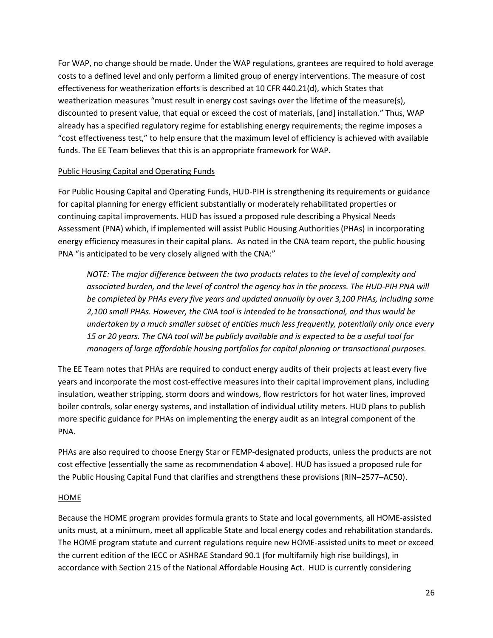For WAP, no change should be made. Under the WAP regulations, grantees are required to hold average costs to a defined level and only perform a limited group of energy interventions. The measure of cost effectiveness for weatherization efforts is described at 10 CFR 440.21(d), which States that weatherization measures "must result in energy cost savings over the lifetime of the measure(s), discounted to present value, that equal or exceed the cost of materials, [and] installation." Thus, WAP already has a specified regulatory regime for establishing energy requirements; the regime imposes a "cost effectiveness test," to help ensure that the maximum level of efficiency is achieved with available funds. The EE Team believes that this is an appropriate framework for WAP.

## Public Housing Capital and Operating Funds

For Public Housing Capital and Operating Funds, HUD-PIH is strengthening its requirements or guidance for capital planning for energy efficient substantially or moderately rehabilitated properties or continuing capital improvements. HUD has issued a proposed rule describing a Physical Needs Assessment (PNA) which, if implemented will assist Public Housing Authorities (PHAs) in incorporating energy efficiency measures in their capital plans. As noted in the CNA team report, the public housing PNA "is anticipated to be very closely aligned with the CNA:"

*NOTE: The major difference between the two products relates to the level of complexity and associated burden, and the level of control the agency has in the process. The HUD-PIH PNA will be completed by PHAs every five years and updated annually by over 3,100 PHAs, including some 2,100 small PHAs. However, the CNA tool is intended to be transactional, and thus would be undertaken by a much smaller subset of entities much less frequently, potentially only once every 15 or 20 years. The CNA tool will be publicly available and is expected to be a useful tool for managers of large affordable housing portfolios for capital planning or transactional purposes.* 

The EE Team notes that PHAs are required to conduct energy audits of their projects at least every five years and incorporate the most cost-effective measures into their capital improvement plans, including insulation, weather stripping, storm doors and windows, flow restrictors for hot water lines, improved boiler controls, solar energy systems, and installation of individual utility meters. HUD plans to publish more specific guidance for PHAs on implementing the energy audit as an integral component of the PNA.

PHAs are also required to choose Energy Star or FEMP-designated products, unless the products are not cost effective (essentially the same as recommendation 4 above). HUD has issued a proposed rule for the Public Housing Capital Fund that clarifies and strengthens these provisions (RIN–2577–AC50).

# HOME

Because the HOME program provides formula grants to State and local governments, all HOME-assisted units must, at a minimum, meet all applicable State and local energy codes and rehabilitation standards. The HOME program statute and current regulations require new HOME-assisted units to meet or exceed the current edition of the IECC or ASHRAE Standard 90.1 (for multifamily high rise buildings), in accordance with Section 215 of the National Affordable Housing Act. HUD is currently considering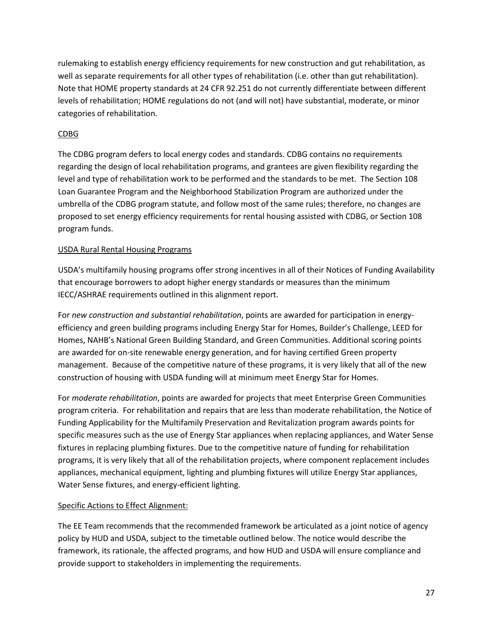rulemaking to establish energy efficiency requirements for new construction and gut rehabilitation, as well as separate requirements for all other types of rehabilitation (i.e. other than gut rehabilitation). Note that HOME property standards at 24 CFR 92.251 do not currently differentiate between different levels of rehabilitation; HOME regulations do not (and will not) have substantial, moderate, or minor categories of rehabilitation.

# CDBG

The CDBG program defers to local energy codes and standards. CDBG contains no requirements regarding the design of local rehabilitation programs, and grantees are given flexibility regarding the level and type of rehabilitation work to be performed and the standards to be met. The Section 108 Loan Guarantee Program and the Neighborhood Stabilization Program are authorized under the umbrella of the CDBG program statute, and follow most of the same rules; therefore, no changes are proposed to set energy efficiency requirements for rental housing assisted with CDBG, or Section 108 program funds.

# USDA Rural Rental Housing Programs

USDA's multifamily housing programs offer strong incentives in all of their Notices of Funding Availability that encourage borrowers to adopt higher energy standards or measures than the minimum IECC/ASHRAE requirements outlined in this alignment report.

For *new construction and substantial rehabilitation*, points are awarded for participation in energyefficiency and green building programs including Energy Star for Homes, Builder's Challenge, LEED for Homes, NAHB's National Green Building Standard, and Green Communities. Additional scoring points are awarded for on-site renewable energy generation, and for having certified Green property management. Because of the competitive nature of these programs, it is very likely that all of the new construction of housing with USDA funding will at minimum meet Energy Star for Homes.

For *moderate rehabilitation*, points are awarded for projects that meet Enterprise Green Communities program criteria. For rehabilitation and repairs that are less than moderate rehabilitation, the Notice of Funding Applicability for the Multifamily Preservation and Revitalization program awards points for specific measures such as the use of Energy Star appliances when replacing appliances, and Water Sense fixtures in replacing plumbing fixtures. Due to the competitive nature of funding for rehabilitation programs, it is very likely that all of the rehabilitation projects, where component replacement includes appliances, mechanical equipment, lighting and plumbing fixtures will utilize Energy Star appliances, Water Sense fixtures, and energy-efficient lighting.

# Specific Actions to Effect Alignment:

The EE Team recommends that the recommended framework be articulated as a joint notice of agency policy by HUD and USDA, subject to the timetable outlined below. The notice would describe the framework, its rationale, the affected programs, and how HUD and USDA will ensure compliance and provide support to stakeholders in implementing the requirements.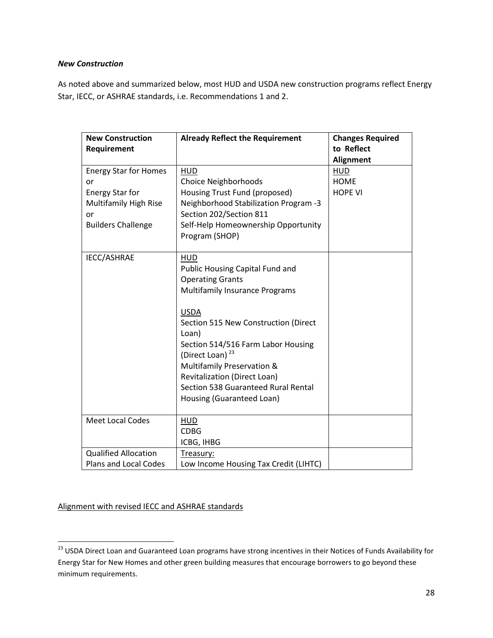#### *New Construction*

As noted above and summarized below, most HUD and USDA new construction programs reflect Energy Star, IECC, or ASHRAE standards, i.e. Recommendations 1 and 2.

| <b>New Construction</b><br>Requirement                                                                                          | <b>Already Reflect the Requirement</b>                                                                                                                                                                                                                                                                                                                                                          | <b>Changes Required</b><br>to Reflect<br>Alignment |
|---------------------------------------------------------------------------------------------------------------------------------|-------------------------------------------------------------------------------------------------------------------------------------------------------------------------------------------------------------------------------------------------------------------------------------------------------------------------------------------------------------------------------------------------|----------------------------------------------------|
| <b>Energy Star for Homes</b><br>or<br><b>Energy Star for</b><br><b>Multifamily High Rise</b><br>or<br><b>Builders Challenge</b> | <b>HUD</b><br>Choice Neighborhoods<br>Housing Trust Fund (proposed)<br>Neighborhood Stabilization Program -3<br>Section 202/Section 811<br>Self-Help Homeownership Opportunity<br>Program (SHOP)                                                                                                                                                                                                | <b>HUD</b><br><b>HOME</b><br><b>HOPE VI</b>        |
| IECC/ASHRAE                                                                                                                     | <b>HUD</b><br>Public Housing Capital Fund and<br><b>Operating Grants</b><br><b>Multifamily Insurance Programs</b><br><b>USDA</b><br>Section 515 New Construction (Direct<br>Loan)<br>Section 514/516 Farm Labor Housing<br>(Direct Loan) <sup>23</sup><br>Multifamily Preservation &<br><b>Revitalization (Direct Loan)</b><br>Section 538 Guaranteed Rural Rental<br>Housing (Guaranteed Loan) |                                                    |
| <b>Meet Local Codes</b>                                                                                                         | <b>HUD</b><br><b>CDBG</b><br>ICBG, IHBG                                                                                                                                                                                                                                                                                                                                                         |                                                    |
| <b>Qualified Allocation</b><br>Plans and Local Codes                                                                            | Treasury:<br>Low Income Housing Tax Credit (LIHTC)                                                                                                                                                                                                                                                                                                                                              |                                                    |

Alignment with revised IECC and ASHRAE standards

<span id="page-27-0"></span><sup>&</sup>lt;sup>23</sup> USDA Direct Loan and Guaranteed Loan programs have strong incentives in their Notices of Funds Availability for Energy Star for New Homes and other green building measures that encourage borrowers to go beyond these minimum requirements.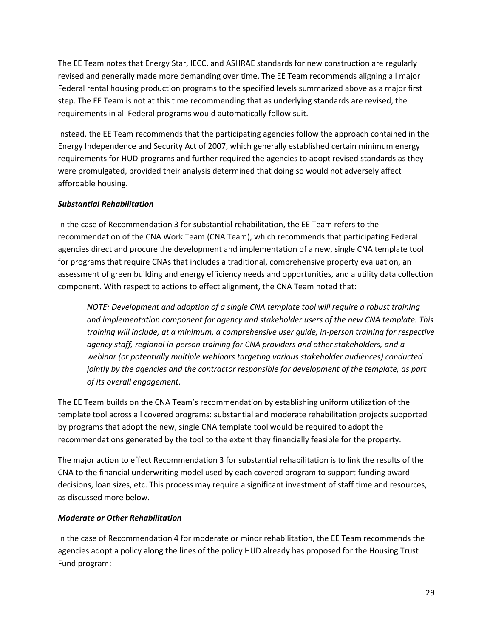The EE Team notes that Energy Star, IECC, and ASHRAE standards for new construction are regularly revised and generally made more demanding over time. The EE Team recommends aligning all major Federal rental housing production programs to the specified levels summarized above as a major first step. The EE Team is not at this time recommending that as underlying standards are revised, the requirements in all Federal programs would automatically follow suit.

Instead, the EE Team recommends that the participating agencies follow the approach contained in the Energy Independence and Security Act of 2007, which generally established certain minimum energy requirements for HUD programs and further required the agencies to adopt revised standards as they were promulgated, provided their analysis determined that doing so would not adversely affect affordable housing.

# *Substantial Rehabilitation*

In the case of Recommendation 3 for substantial rehabilitation, the EE Team refers to the recommendation of the CNA Work Team (CNA Team), which recommends that participating Federal agencies direct and procure the development and implementation of a new, single CNA template tool for programs that require CNAs that includes a traditional, comprehensive property evaluation, an assessment of green building and energy efficiency needs and opportunities, and a utility data collection component. With respect to actions to effect alignment, the CNA Team noted that:

*NOTE: Development and adoption of a single CNA template tool will require a robust training and implementation component for agency and stakeholder users of the new CNA template. This training will include, at a minimum, a comprehensive user guide, in-person training for respective agency staff, regional in-person training for CNA providers and other stakeholders, and a webinar (or potentially multiple webinars targeting various stakeholder audiences) conducted jointly by the agencies and the contractor responsible for development of the template, as part of its overall engagement*.

The EE Team builds on the CNA Team's recommendation by establishing uniform utilization of the template tool across all covered programs: substantial and moderate rehabilitation projects supported by programs that adopt the new, single CNA template tool would be required to adopt the recommendations generated by the tool to the extent they financially feasible for the property.

The major action to effect Recommendation 3 for substantial rehabilitation is to link the results of the CNA to the financial underwriting model used by each covered program to support funding award decisions, loan sizes, etc. This process may require a significant investment of staff time and resources, as discussed more below.

#### *Moderate or Other Rehabilitation*

In the case of Recommendation 4 for moderate or minor rehabilitation, the EE Team recommends the agencies adopt a policy along the lines of the policy HUD already has proposed for the Housing Trust Fund program: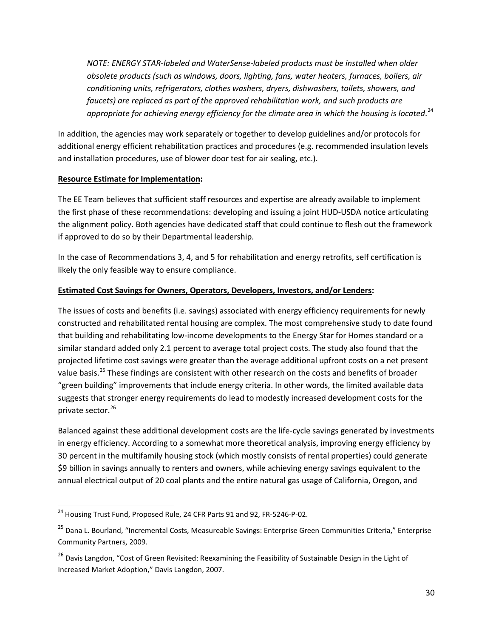*NOTE: ENERGY STAR-labeled and WaterSense-labeled products must be installed when older obsolete products (such as windows, doors, lighting, fans, water heaters, furnaces, boilers, air conditioning units, refrigerators, clothes washers, dryers, dishwashers, toilets, showers, and faucets) are replaced as part of the approved rehabilitation work, and such products are appropriate for achieving energy efficiency for the climate area in which the housing is located*. [24](#page-29-0)

In addition, the agencies may work separately or together to develop guidelines and/or protocols for additional energy efficient rehabilitation practices and procedures (e.g. recommended insulation levels and installation procedures, use of blower door test for air sealing, etc.).

# **Resource Estimate for Implementation:**

The EE Team believes that sufficient staff resources and expertise are already available to implement the first phase of these recommendations: developing and issuing a joint HUD-USDA notice articulating the alignment policy. Both agencies have dedicated staff that could continue to flesh out the framework if approved to do so by their Departmental leadership.

In the case of Recommendations 3, 4, and 5 for rehabilitation and energy retrofits, self certification is likely the only feasible way to ensure compliance.

# **Estimated Cost Savings for Owners, Operators, Developers, Investors, and/or Lenders:**

The issues of costs and benefits (i.e. savings) associated with energy efficiency requirements for newly constructed and rehabilitated rental housing are complex. The most comprehensive study to date found that building and rehabilitating low-income developments to the Energy Star for Homes standard or a similar standard added only 2.1 percent to average total project costs. The study also found that the projected lifetime cost savings were greater than the average additional upfront costs on a net present value basis.<sup>[25](#page-29-1)</sup> These findings are consistent with other research on the costs and benefits of broader "green building" improvements that include energy criteria. In other words, the limited available data suggests that stronger energy requirements do lead to modestly increased development costs for the private sector.<sup>[26](#page-29-2)</sup>

Balanced against these additional development costs are the life-cycle savings generated by investments in energy efficiency. According to a somewhat more theoretical analysis, improving energy efficiency by 30 percent in the multifamily housing stock (which mostly consists of rental properties) could generate \$9 billion in savings annually to renters and owners, while achieving energy savings equivalent to the annual electrical output of 20 coal plants and the entire natural gas usage of California, Oregon, and

<span id="page-29-0"></span><sup>&</sup>lt;sup>24</sup> Housing Trust Fund, Proposed Rule, 24 CFR Parts 91 and 92, FR-5246-P-02.

<span id="page-29-1"></span><sup>&</sup>lt;sup>25</sup> Dana L. Bourland, "Incremental Costs, Measureable Savings: Enterprise Green Communities Criteria," Enterprise Community Partners, 2009.

<span id="page-29-2"></span><sup>&</sup>lt;sup>26</sup> Davis Langdon, "Cost of Green Revisited: Reexamining the Feasibility of Sustainable Design in the Light of Increased Market Adoption," Davis Langdon, 2007.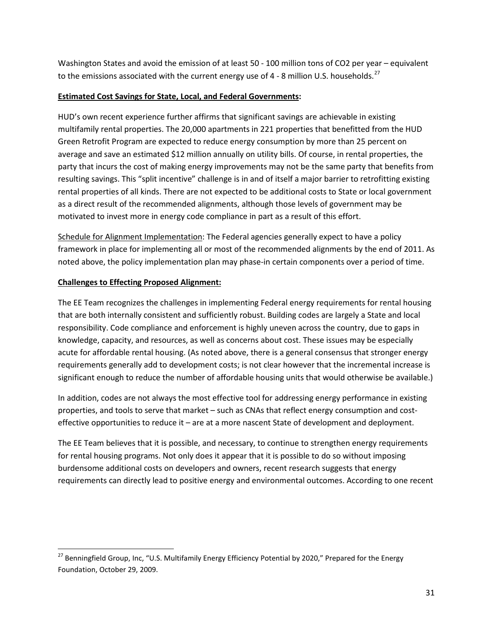Washington States and avoid the emission of at least 50 - 100 million tons of CO2 per year – equivalent to the emissions associated with the current energy use of 4 - 8 million U.S. households.<sup>[27](#page-30-0)</sup>

# **Estimated Cost Savings for State, Local, and Federal Governments:**

HUD's own recent experience further affirms that significant savings are achievable in existing multifamily rental properties. The 20,000 apartments in 221 properties that benefitted from the HUD Green Retrofit Program are expected to reduce energy consumption by more than 25 percent on average and save an estimated \$12 million annually on utility bills. Of course, in rental properties, the party that incurs the cost of making energy improvements may not be the same party that benefits from resulting savings. This "split incentive" challenge is in and of itself a major barrier to retrofitting existing rental properties of all kinds. There are not expected to be additional costs to State or local government as a direct result of the recommended alignments, although those levels of government may be motivated to invest more in energy code compliance in part as a result of this effort.

Schedule for Alignment Implementation: The Federal agencies generally expect to have a policy framework in place for implementing all or most of the recommended alignments by the end of 2011. As noted above, the policy implementation plan may phase-in certain components over a period of time.

# **Challenges to Effecting Proposed Alignment:**

The EE Team recognizes the challenges in implementing Federal energy requirements for rental housing that are both internally consistent and sufficiently robust. Building codes are largely a State and local responsibility. Code compliance and enforcement is highly uneven across the country, due to gaps in knowledge, capacity, and resources, as well as concerns about cost. These issues may be especially acute for affordable rental housing. (As noted above, there is a general consensus that stronger energy requirements generally add to development costs; is not clear however that the incremental increase is significant enough to reduce the number of affordable housing units that would otherwise be available.)

In addition, codes are not always the most effective tool for addressing energy performance in existing properties, and tools to serve that market – such as CNAs that reflect energy consumption and costeffective opportunities to reduce it – are at a more nascent State of development and deployment.

The EE Team believes that it is possible, and necessary, to continue to strengthen energy requirements for rental housing programs. Not only does it appear that it is possible to do so without imposing burdensome additional costs on developers and owners, recent research suggests that energy requirements can directly lead to positive energy and environmental outcomes. According to one recent

<span id="page-30-0"></span><sup>&</sup>lt;sup>27</sup> Benningfield Group, Inc, "U.S. Multifamily Energy Efficiency Potential by 2020," Prepared for the Energy Foundation, October 29, 2009.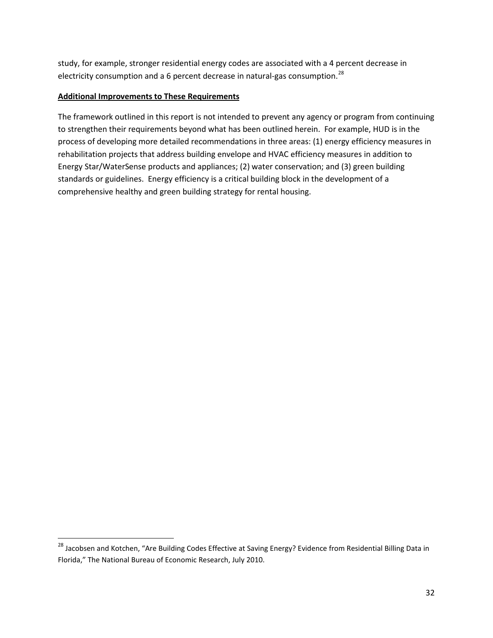study, for example, stronger residential energy codes are associated with a 4 percent decrease in electricity consumption and a 6 percent decrease in natural-gas consumption.<sup>[28](#page-31-0)</sup>

#### **Additional Improvements to These Requirements**

The framework outlined in this report is not intended to prevent any agency or program from continuing to strengthen their requirements beyond what has been outlined herein. For example, HUD is in the process of developing more detailed recommendations in three areas: (1) energy efficiency measures in rehabilitation projects that address building envelope and HVAC efficiency measures in addition to Energy Star/WaterSense products and appliances; (2) water conservation; and (3) green building standards or guidelines. Energy efficiency is a critical building block in the development of a comprehensive healthy and green building strategy for rental housing.

<span id="page-31-0"></span><sup>&</sup>lt;sup>28</sup> Jacobsen and Kotchen, "Are Building Codes Effective at Saving Energy? Evidence from Residential Billing Data in Florida," The National Bureau of Economic Research, July 2010.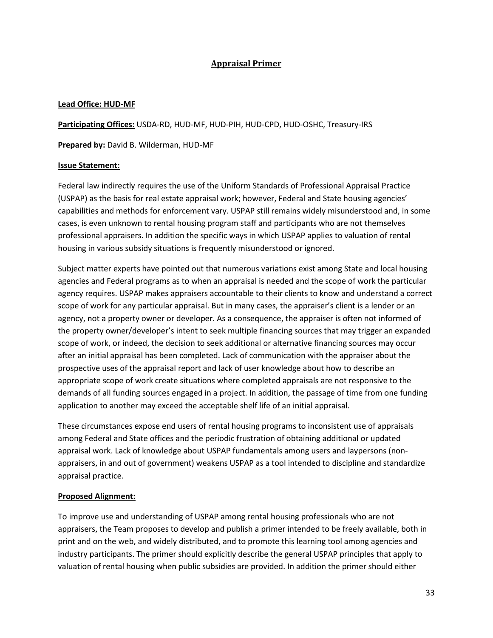# **Appraisal Primer**

## **Lead Office: HUD-MF**

**Participating Offices:** USDA-RD, HUD-MF, HUD-PIH, HUD-CPD, HUD-OSHC, Treasury-IRS

**Prepared by:** David B. Wilderman, HUD-MF

## **Issue Statement:**

Federal law indirectly requires the use of the Uniform Standards of Professional Appraisal Practice (USPAP) as the basis for real estate appraisal work; however, Federal and State housing agencies' capabilities and methods for enforcement vary. USPAP still remains widely misunderstood and, in some cases, is even unknown to rental housing program staff and participants who are not themselves professional appraisers. In addition the specific ways in which USPAP applies to valuation of rental housing in various subsidy situations is frequently misunderstood or ignored.

Subject matter experts have pointed out that numerous variations exist among State and local housing agencies and Federal programs as to when an appraisal is needed and the scope of work the particular agency requires. USPAP makes appraisers accountable to their clients to know and understand a correct scope of work for any particular appraisal. But in many cases, the appraiser's client is a lender or an agency, not a property owner or developer. As a consequence, the appraiser is often not informed of the property owner/developer's intent to seek multiple financing sources that may trigger an expanded scope of work, or indeed, the decision to seek additional or alternative financing sources may occur after an initial appraisal has been completed. Lack of communication with the appraiser about the prospective uses of the appraisal report and lack of user knowledge about how to describe an appropriate scope of work create situations where completed appraisals are not responsive to the demands of all funding sources engaged in a project. In addition, the passage of time from one funding application to another may exceed the acceptable shelf life of an initial appraisal.

These circumstances expose end users of rental housing programs to inconsistent use of appraisals among Federal and State offices and the periodic frustration of obtaining additional or updated appraisal work. Lack of knowledge about USPAP fundamentals among users and laypersons (nonappraisers, in and out of government) weakens USPAP as a tool intended to discipline and standardize appraisal practice.

# **Proposed Alignment:**

To improve use and understanding of USPAP among rental housing professionals who are not appraisers, the Team proposes to develop and publish a primer intended to be freely available, both in print and on the web, and widely distributed, and to promote this learning tool among agencies and industry participants. The primer should explicitly describe the general USPAP principles that apply to valuation of rental housing when public subsidies are provided. In addition the primer should either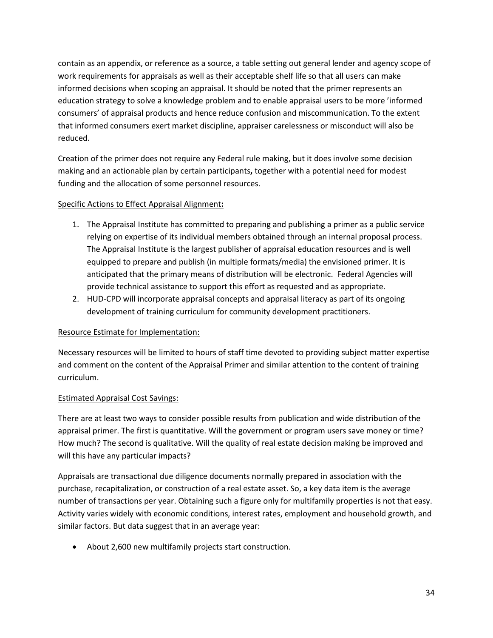contain as an appendix, or reference as a source, a table setting out general lender and agency scope of work requirements for appraisals as well as their acceptable shelf life so that all users can make informed decisions when scoping an appraisal. It should be noted that the primer represents an education strategy to solve a knowledge problem and to enable appraisal users to be more 'informed consumers' of appraisal products and hence reduce confusion and miscommunication. To the extent that informed consumers exert market discipline, appraiser carelessness or misconduct will also be reduced.

Creation of the primer does not require any Federal rule making, but it does involve some decision making and an actionable plan by certain participants**,** together with a potential need for modest funding and the allocation of some personnel resources.

# Specific Actions to Effect Appraisal Alignment**:**

- 1. The Appraisal Institute has committed to preparing and publishing a primer as a public service relying on expertise of its individual members obtained through an internal proposal process. The Appraisal Institute is the largest publisher of appraisal education resources and is well equipped to prepare and publish (in multiple formats/media) the envisioned primer. It is anticipated that the primary means of distribution will be electronic. Federal Agencies will provide technical assistance to support this effort as requested and as appropriate.
- 2. HUD-CPD will incorporate appraisal concepts and appraisal literacy as part of its ongoing development of training curriculum for community development practitioners.

# Resource Estimate for Implementation:

Necessary resources will be limited to hours of staff time devoted to providing subject matter expertise and comment on the content of the Appraisal Primer and similar attention to the content of training curriculum.

# Estimated Appraisal Cost Savings:

There are at least two ways to consider possible results from publication and wide distribution of the appraisal primer. The first is quantitative. Will the government or program users save money or time? How much? The second is qualitative. Will the quality of real estate decision making be improved and will this have any particular impacts?

Appraisals are transactional due diligence documents normally prepared in association with the purchase, recapitalization, or construction of a real estate asset. So, a key data item is the average number of transactions per year. Obtaining such a figure only for multifamily properties is not that easy. Activity varies widely with economic conditions, interest rates, employment and household growth, and similar factors. But data suggest that in an average year:

• About 2,600 new multifamily projects start construction.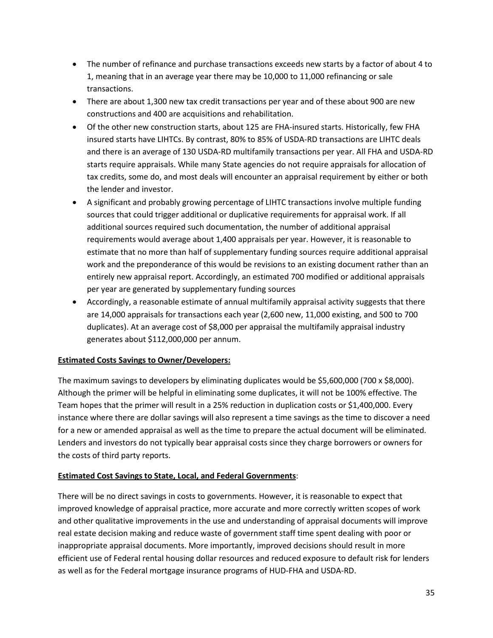- The number of refinance and purchase transactions exceeds new starts by a factor of about 4 to 1, meaning that in an average year there may be 10,000 to 11,000 refinancing or sale transactions.
- There are about 1,300 new tax credit transactions per year and of these about 900 are new constructions and 400 are acquisitions and rehabilitation.
- Of the other new construction starts, about 125 are FHA-insured starts. Historically, few FHA insured starts have LIHTCs. By contrast, 80% to 85% of USDA-RD transactions are LIHTC deals and there is an average of 130 USDA-RD multifamily transactions per year. All FHA and USDA-RD starts require appraisals. While many State agencies do not require appraisals for allocation of tax credits, some do, and most deals will encounter an appraisal requirement by either or both the lender and investor.
- A significant and probably growing percentage of LIHTC transactions involve multiple funding sources that could trigger additional or duplicative requirements for appraisal work. If all additional sources required such documentation, the number of additional appraisal requirements would average about 1,400 appraisals per year. However, it is reasonable to estimate that no more than half of supplementary funding sources require additional appraisal work and the preponderance of this would be revisions to an existing document rather than an entirely new appraisal report. Accordingly, an estimated 700 modified or additional appraisals per year are generated by supplementary funding sources
- Accordingly, a reasonable estimate of annual multifamily appraisal activity suggests that there are 14,000 appraisals for transactions each year (2,600 new, 11,000 existing, and 500 to 700 duplicates). At an average cost of \$8,000 per appraisal the multifamily appraisal industry generates about \$112,000,000 per annum.

# **Estimated Costs Savings to Owner/Developers:**

The maximum savings to developers by eliminating duplicates would be \$5,600,000 (700 x \$8,000). Although the primer will be helpful in eliminating some duplicates, it will not be 100% effective. The Team hopes that the primer will result in a 25% reduction in duplication costs or \$1,400,000. Every instance where there are dollar savings will also represent a time savings as the time to discover a need for a new or amended appraisal as well as the time to prepare the actual document will be eliminated. Lenders and investors do not typically bear appraisal costs since they charge borrowers or owners for the costs of third party reports.

# **Estimated Cost Savings to State, Local, and Federal Governments**:

There will be no direct savings in costs to governments. However, it is reasonable to expect that improved knowledge of appraisal practice, more accurate and more correctly written scopes of work and other qualitative improvements in the use and understanding of appraisal documents will improve real estate decision making and reduce waste of government staff time spent dealing with poor or inappropriate appraisal documents. More importantly, improved decisions should result in more efficient use of Federal rental housing dollar resources and reduced exposure to default risk for lenders as well as for the Federal mortgage insurance programs of HUD-FHA and USDA-RD.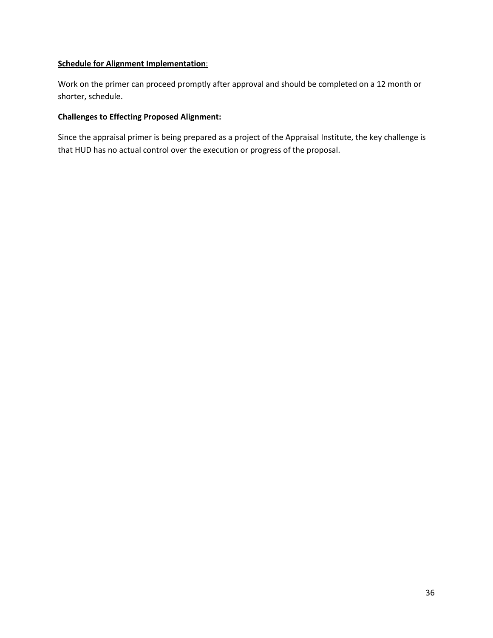## **Schedule for Alignment Implementation**:

Work on the primer can proceed promptly after approval and should be completed on a 12 month or shorter, schedule.

## **Challenges to Effecting Proposed Alignment:**

Since the appraisal primer is being prepared as a project of the Appraisal Institute, the key challenge is that HUD has no actual control over the execution or progress of the proposal.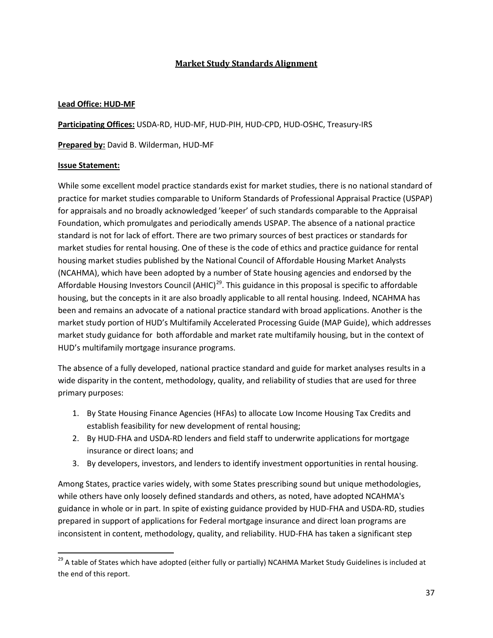# **Market Study Standards Alignment**

## **Lead Office: HUD-MF**

**Participating Offices:** USDA-RD, HUD-MF, HUD-PIH, HUD-CPD, HUD-OSHC, Treasury-IRS

**Prepared by:** David B. Wilderman, HUD-MF

## **Issue Statement:**

While some excellent model practice standards exist for market studies, there is no national standard of practice for market studies comparable to Uniform Standards of Professional Appraisal Practice (USPAP) for appraisals and no broadly acknowledged 'keeper' of such standards comparable to the Appraisal Foundation, which promulgates and periodically amends USPAP. The absence of a national practice standard is not for lack of effort. There are two primary sources of best practices or standards for market studies for rental housing. One of these is the code of ethics and practice guidance for rental housing market studies published by the National Council of Affordable Housing Market Analysts (NCAHMA), which have been adopted by a number of State housing agencies and endorsed by the Affordable Housing Investors Council (AHIC)<sup>[29](#page-36-0)</sup>. This guidance in this proposal is specific to affordable housing, but the concepts in it are also broadly applicable to all rental housing. Indeed, NCAHMA has been and remains an advocate of a national practice standard with broad applications. Another is the market study portion of HUD's Multifamily Accelerated Processing Guide (MAP Guide), which addresses market study guidance for both affordable and market rate multifamily housing, but in the context of HUD's multifamily mortgage insurance programs.

The absence of a fully developed, national practice standard and guide for market analyses results in a wide disparity in the content, methodology, quality, and reliability of studies that are used for three primary purposes:

- 1. By State Housing Finance Agencies (HFAs) to allocate Low Income Housing Tax Credits and establish feasibility for new development of rental housing;
- 2. By HUD-FHA and USDA-RD lenders and field staff to underwrite applications for mortgage insurance or direct loans; and
- 3. By developers, investors, and lenders to identify investment opportunities in rental housing.

Among States, practice varies widely, with some States prescribing sound but unique methodologies, while others have only loosely defined standards and others, as noted, have adopted NCAHMA's guidance in whole or in part. In spite of existing guidance provided by HUD-FHA and USDA-RD, studies prepared in support of applications for Federal mortgage insurance and direct loan programs are inconsistent in content, methodology, quality, and reliability. HUD-FHA has taken a significant step

<span id="page-36-0"></span><sup>&</sup>lt;sup>29</sup> A table of States which have adopted (either fully or partially) NCAHMA Market Study Guidelines is included at the end of this report.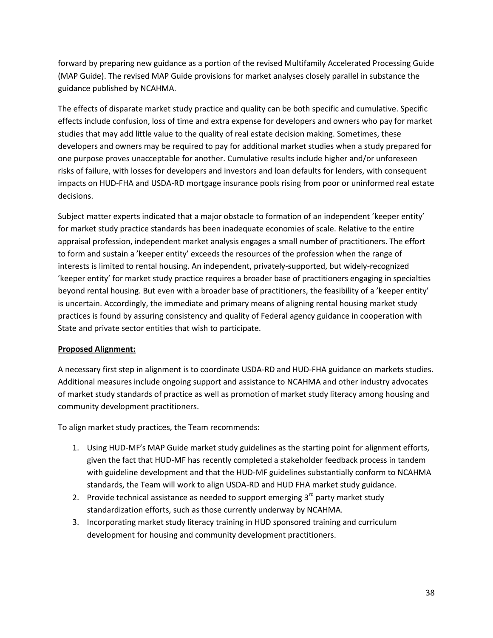forward by preparing new guidance as a portion of the revised Multifamily Accelerated Processing Guide (MAP Guide). The revised MAP Guide provisions for market analyses closely parallel in substance the guidance published by NCAHMA.

The effects of disparate market study practice and quality can be both specific and cumulative. Specific effects include confusion, loss of time and extra expense for developers and owners who pay for market studies that may add little value to the quality of real estate decision making. Sometimes, these developers and owners may be required to pay for additional market studies when a study prepared for one purpose proves unacceptable for another. Cumulative results include higher and/or unforeseen risks of failure, with losses for developers and investors and loan defaults for lenders, with consequent impacts on HUD-FHA and USDA-RD mortgage insurance pools rising from poor or uninformed real estate decisions.

Subject matter experts indicated that a major obstacle to formation of an independent 'keeper entity' for market study practice standards has been inadequate economies of scale. Relative to the entire appraisal profession, independent market analysis engages a small number of practitioners. The effort to form and sustain a 'keeper entity' exceeds the resources of the profession when the range of interests is limited to rental housing. An independent, privately-supported, but widely-recognized 'keeper entity' for market study practice requires a broader base of practitioners engaging in specialties beyond rental housing. But even with a broader base of practitioners, the feasibility of a 'keeper entity' is uncertain. Accordingly, the immediate and primary means of aligning rental housing market study practices is found by assuring consistency and quality of Federal agency guidance in cooperation with State and private sector entities that wish to participate.

# **Proposed Alignment:**

A necessary first step in alignment is to coordinate USDA-RD and HUD-FHA guidance on markets studies. Additional measures include ongoing support and assistance to NCAHMA and other industry advocates of market study standards of practice as well as promotion of market study literacy among housing and community development practitioners.

To align market study practices, the Team recommends:

- 1. Using HUD-MF's MAP Guide market study guidelines as the starting point for alignment efforts, given the fact that HUD-MF has recently completed a stakeholder feedback process in tandem with guideline development and that the HUD-MF guidelines substantially conform to NCAHMA standards, the Team will work to align USDA-RD and HUD FHA market study guidance.
- 2. Provide technical assistance as needed to support emerging  $3<sup>rd</sup>$  party market study standardization efforts, such as those currently underway by NCAHMA.
- 3. Incorporating market study literacy training in HUD sponsored training and curriculum development for housing and community development practitioners.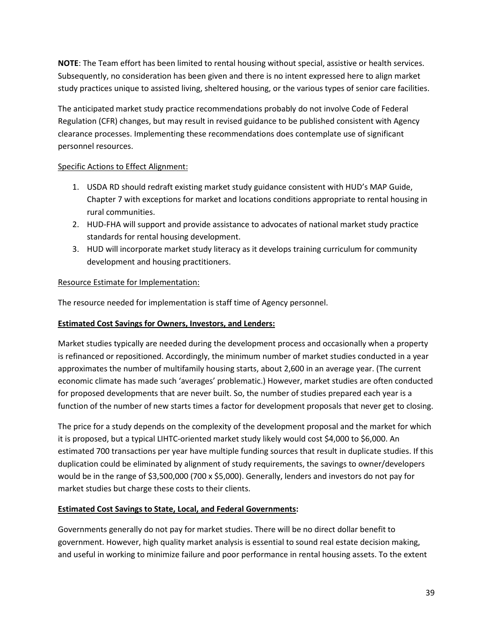**NOTE**: The Team effort has been limited to rental housing without special, assistive or health services. Subsequently, no consideration has been given and there is no intent expressed here to align market study practices unique to assisted living, sheltered housing, or the various types of senior care facilities.

The anticipated market study practice recommendations probably do not involve Code of Federal Regulation (CFR) changes, but may result in revised guidance to be published consistent with Agency clearance processes. Implementing these recommendations does contemplate use of significant personnel resources.

# Specific Actions to Effect Alignment:

- 1. USDA RD should redraft existing market study guidance consistent with HUD's MAP Guide, Chapter 7 with exceptions for market and locations conditions appropriate to rental housing in rural communities.
- 2. HUD-FHA will support and provide assistance to advocates of national market study practice standards for rental housing development.
- 3. HUD will incorporate market study literacy as it develops training curriculum for community development and housing practitioners.

## Resource Estimate for Implementation:

The resource needed for implementation is staff time of Agency personnel.

### **Estimated Cost Savings for Owners, Investors, and Lenders:**

Market studies typically are needed during the development process and occasionally when a property is refinanced or repositioned. Accordingly, the minimum number of market studies conducted in a year approximates the number of multifamily housing starts, about 2,600 in an average year. (The current economic climate has made such 'averages' problematic.) However, market studies are often conducted for proposed developments that are never built. So, the number of studies prepared each year is a function of the number of new starts times a factor for development proposals that never get to closing.

The price for a study depends on the complexity of the development proposal and the market for which it is proposed, but a typical LIHTC-oriented market study likely would cost \$4,000 to \$6,000. An estimated 700 transactions per year have multiple funding sources that result in duplicate studies. If this duplication could be eliminated by alignment of study requirements, the savings to owner/developers would be in the range of \$3,500,000 (700 x \$5,000). Generally, lenders and investors do not pay for market studies but charge these costs to their clients.

#### **Estimated Cost Savings to State, Local, and Federal Governments:**

Governments generally do not pay for market studies. There will be no direct dollar benefit to government. However, high quality market analysis is essential to sound real estate decision making, and useful in working to minimize failure and poor performance in rental housing assets. To the extent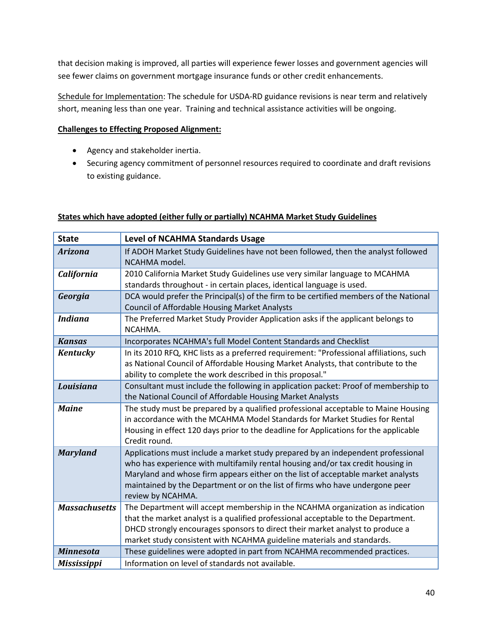that decision making is improved, all parties will experience fewer losses and government agencies will see fewer claims on government mortgage insurance funds or other credit enhancements.

Schedule for Implementation: The schedule for USDA-RD guidance revisions is near term and relatively short, meaning less than one year. Training and technical assistance activities will be ongoing.

## **Challenges to Effecting Proposed Alignment:**

- Agency and stakeholder inertia.
- Securing agency commitment of personnel resources required to coordinate and draft revisions to existing guidance.

|  |  | States which have adopted (either fully or partially) NCAHMA Market Study Guidelines |  |
|--|--|--------------------------------------------------------------------------------------|--|
|  |  |                                                                                      |  |

| <b>State</b>         | <b>Level of NCAHMA Standards Usage</b>                                                                                                                                                                                                                                                                                                                       |
|----------------------|--------------------------------------------------------------------------------------------------------------------------------------------------------------------------------------------------------------------------------------------------------------------------------------------------------------------------------------------------------------|
| <b>Arizona</b>       | If ADOH Market Study Guidelines have not been followed, then the analyst followed<br>NCAHMA model.                                                                                                                                                                                                                                                           |
| <b>California</b>    | 2010 California Market Study Guidelines use very similar language to MCAHMA<br>standards throughout - in certain places, identical language is used.                                                                                                                                                                                                         |
| Georgia              | DCA would prefer the Principal(s) of the firm to be certified members of the National<br><b>Council of Affordable Housing Market Analysts</b>                                                                                                                                                                                                                |
| <b>Indiana</b>       | The Preferred Market Study Provider Application asks if the applicant belongs to<br>NCAHMA.                                                                                                                                                                                                                                                                  |
| <b>Kansas</b>        | Incorporates NCAHMA's full Model Content Standards and Checklist                                                                                                                                                                                                                                                                                             |
| <b>Kentucky</b>      | In its 2010 RFQ, KHC lists as a preferred requirement: "Professional affiliations, such<br>as National Council of Affordable Housing Market Analysts, that contribute to the<br>ability to complete the work described in this proposal."                                                                                                                    |
| Louisiana            | Consultant must include the following in application packet: Proof of membership to<br>the National Council of Affordable Housing Market Analysts                                                                                                                                                                                                            |
| <b>Maine</b>         | The study must be prepared by a qualified professional acceptable to Maine Housing<br>in accordance with the MCAHMA Model Standards for Market Studies for Rental<br>Housing in effect 120 days prior to the deadline for Applications for the applicable<br>Credit round.                                                                                   |
| <b>Maryland</b>      | Applications must include a market study prepared by an independent professional<br>who has experience with multifamily rental housing and/or tax credit housing in<br>Maryland and whose firm appears either on the list of acceptable market analysts<br>maintained by the Department or on the list of firms who have undergone peer<br>review by NCAHMA. |
| <b>Massachusetts</b> | The Department will accept membership in the NCAHMA organization as indication<br>that the market analyst is a qualified professional acceptable to the Department.<br>DHCD strongly encourages sponsors to direct their market analyst to produce a<br>market study consistent with NCAHMA guideline materials and standards.                               |
| <b>Minnesota</b>     | These guidelines were adopted in part from NCAHMA recommended practices.                                                                                                                                                                                                                                                                                     |
| <b>Mississippi</b>   | Information on level of standards not available.                                                                                                                                                                                                                                                                                                             |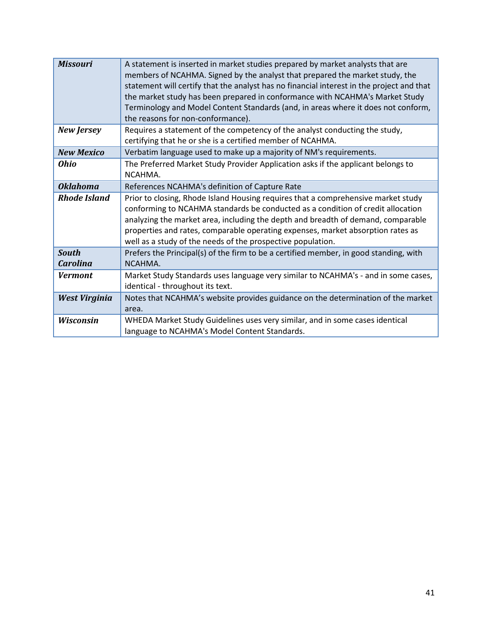| <b>Missouri</b>                 | A statement is inserted in market studies prepared by market analysts that are<br>members of NCAHMA. Signed by the analyst that prepared the market study, the<br>statement will certify that the analyst has no financial interest in the project and that<br>the market study has been prepared in conformance with NCAHMA's Market Study<br>Terminology and Model Content Standards (and, in areas where it does not conform,<br>the reasons for non-conformance). |
|---------------------------------|-----------------------------------------------------------------------------------------------------------------------------------------------------------------------------------------------------------------------------------------------------------------------------------------------------------------------------------------------------------------------------------------------------------------------------------------------------------------------|
| <b>New Jersey</b>               | Requires a statement of the competency of the analyst conducting the study,<br>certifying that he or she is a certified member of NCAHMA.                                                                                                                                                                                                                                                                                                                             |
| <b>New Mexico</b>               | Verbatim language used to make up a majority of NM's requirements.                                                                                                                                                                                                                                                                                                                                                                                                    |
| <b>Ohio</b>                     | The Preferred Market Study Provider Application asks if the applicant belongs to<br>NCAHMA.                                                                                                                                                                                                                                                                                                                                                                           |
| <b>Oklahoma</b>                 | References NCAHMA's definition of Capture Rate                                                                                                                                                                                                                                                                                                                                                                                                                        |
| <b>Rhode Island</b>             | Prior to closing, Rhode Island Housing requires that a comprehensive market study<br>conforming to NCAHMA standards be conducted as a condition of credit allocation<br>analyzing the market area, including the depth and breadth of demand, comparable<br>properties and rates, comparable operating expenses, market absorption rates as<br>well as a study of the needs of the prospective population.                                                            |
| <b>South</b><br><b>Carolina</b> | Prefers the Principal(s) of the firm to be a certified member, in good standing, with<br>NCAHMA.                                                                                                                                                                                                                                                                                                                                                                      |
| Vermont                         | Market Study Standards uses language very similar to NCAHMA's - and in some cases,<br>identical - throughout its text.                                                                                                                                                                                                                                                                                                                                                |
| West Virginia                   | Notes that NCAHMA's website provides guidance on the determination of the market<br>area.                                                                                                                                                                                                                                                                                                                                                                             |
| Wisconsin                       | WHEDA Market Study Guidelines uses very similar, and in some cases identical<br>language to NCAHMA's Model Content Standards.                                                                                                                                                                                                                                                                                                                                         |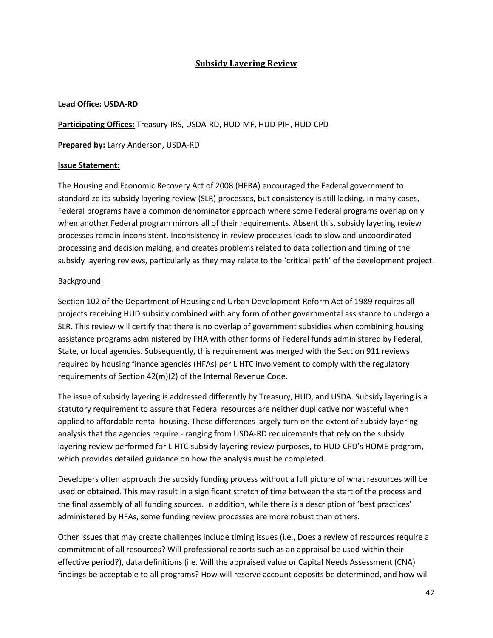# **Subsidy Layering Review**

#### **Lead Office: USDA-RD**

**Participating Offices:** Treasury-IRS, USDA-RD, HUD-MF, HUD-PIH, HUD-CPD

**Prepared by:** Larry Anderson, USDA-RD

## **Issue Statement:**

The Housing and Economic Recovery Act of 2008 (HERA) encouraged the Federal government to standardize its subsidy layering review (SLR) processes, but consistency is still lacking. In many cases, Federal programs have a common denominator approach where some Federal programs overlap only when another Federal program mirrors all of their requirements. Absent this, subsidy layering review processes remain inconsistent. Inconsistency in review processes leads to slow and uncoordinated processing and decision making, and creates problems related to data collection and timing of the subsidy layering reviews, particularly as they may relate to the 'critical path' of the development project.

## Background:

Section 102 of the Department of Housing and Urban Development Reform Act of 1989 requires all projects receiving HUD subsidy combined with any form of other governmental assistance to undergo a SLR. This review will certify that there is no overlap of government subsidies when combining housing assistance programs administered by FHA with other forms of Federal funds administered by Federal, State, or local agencies. Subsequently, this requirement was merged with the Section 911 reviews required by housing finance agencies (HFAs) per LIHTC involvement to comply with the regulatory requirements of Section 42(m)(2) of the Internal Revenue Code.

The issue of subsidy layering is addressed differently by Treasury, HUD, and USDA. Subsidy layering is a statutory requirement to assure that Federal resources are neither duplicative nor wasteful when applied to affordable rental housing. These differences largely turn on the extent of subsidy layering analysis that the agencies require - ranging from USDA-RD requirements that rely on the subsidy layering review performed for LIHTC subsidy layering review purposes, to HUD-CPD's HOME program, which provides detailed guidance on how the analysis must be completed.

Developers often approach the subsidy funding process without a full picture of what resources will be used or obtained. This may result in a significant stretch of time between the start of the process and the final assembly of all funding sources. In addition, while there is a description of 'best practices' administered by HFAs, some funding review processes are more robust than others.

Other issues that may create challenges include timing issues (i.e., Does a review of resources require a commitment of all resources? Will professional reports such as an appraisal be used within their effective period?), data definitions (i.e. Will the appraised value or Capital Needs Assessment (CNA) findings be acceptable to all programs? How will reserve account deposits be determined, and how will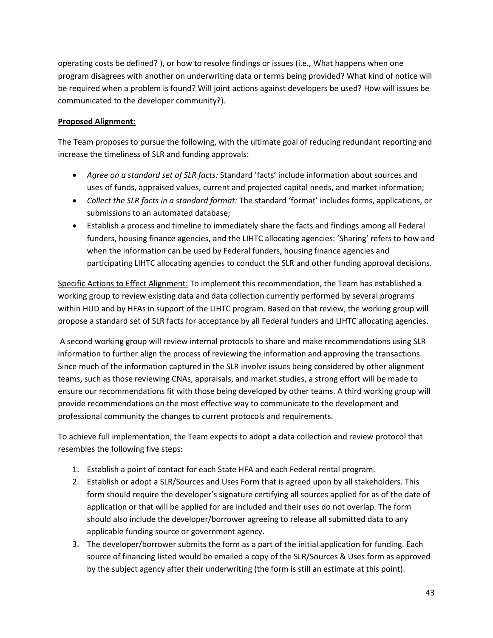operating costs be defined? ), or how to resolve findings or issues (i.e., What happens when one program disagrees with another on underwriting data or terms being provided? What kind of notice will be required when a problem is found? Will joint actions against developers be used? How will issues be communicated to the developer community?).

# **Proposed Alignment:**

The Team proposes to pursue the following, with the ultimate goal of reducing redundant reporting and increase the timeliness of SLR and funding approvals:

- *Agree on a standard set of SLR facts:* Standard 'facts' include information about sources and uses of funds, appraised values, current and projected capital needs, and market information;
- *Collect the SLR facts in a standard format:* The standard 'format' includes forms, applications, or submissions to an automated database;
- Establish a process and timeline to immediately share the facts and findings among all Federal funders, housing finance agencies, and the LIHTC allocating agencies: 'Sharing' refers to how and when the information can be used by Federal funders, housing finance agencies and participating LIHTC allocating agencies to conduct the SLR and other funding approval decisions.

Specific Actions to Effect Alignment: To implement this recommendation, the Team has established a working group to review existing data and data collection currently performed by several programs within HUD and by HFAs in support of the LIHTC program. Based on that review, the working group will propose a standard set of SLR facts for acceptance by all Federal funders and LIHTC allocating agencies.

A second working group will review internal protocols to share and make recommendations using SLR information to further align the process of reviewing the information and approving the transactions. Since much of the information captured in the SLR involve issues being considered by other alignment teams, such as those reviewing CNAs, appraisals, and market studies, a strong effort will be made to ensure our recommendations fit with those being developed by other teams. A third working group will provide recommendations on the most effective way to communicate to the development and professional community the changes to current protocols and requirements.

To achieve full implementation, the Team expects to adopt a data collection and review protocol that resembles the following five steps:

- 1. Establish a point of contact for each State HFA and each Federal rental program.
- 2. Establish or adopt a SLR/Sources and Uses Form that is agreed upon by all stakeholders. This form should require the developer's signature certifying all sources applied for as of the date of application or that will be applied for are included and their uses do not overlap. The form should also include the developer/borrower agreeing to release all submitted data to any applicable funding source or government agency.
- 3. The developer/borrower submits the form as a part of the initial application for funding. Each source of financing listed would be emailed a copy of the SLR/Sources & Uses form as approved by the subject agency after their underwriting (the form is still an estimate at this point).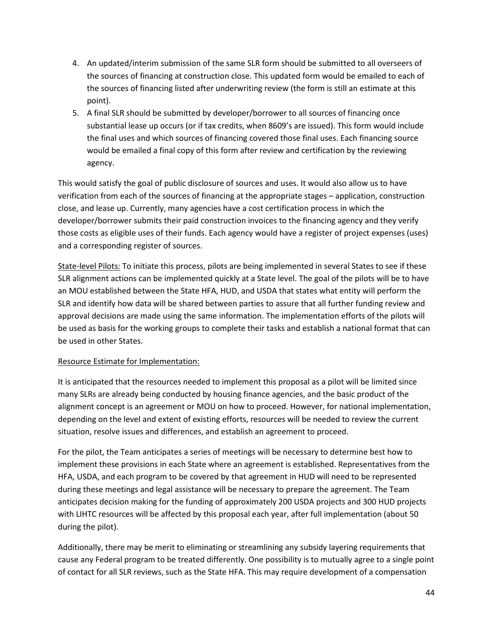- 4. An updated/interim submission of the same SLR form should be submitted to all overseers of the sources of financing at construction close. This updated form would be emailed to each of the sources of financing listed after underwriting review (the form is still an estimate at this point).
- 5. A final SLR should be submitted by developer/borrower to all sources of financing once substantial lease up occurs (or if tax credits, when 8609's are issued). This form would include the final uses and which sources of financing covered those final uses. Each financing source would be emailed a final copy of this form after review and certification by the reviewing agency.

This would satisfy the goal of public disclosure of sources and uses. It would also allow us to have verification from each of the sources of financing at the appropriate stages – application, construction close, and lease up. Currently, many agencies have a cost certification process in which the developer/borrower submits their paid construction invoices to the financing agency and they verify those costs as eligible uses of their funds. Each agency would have a register of project expenses (uses) and a corresponding register of sources.

State-level Pilots: To initiate this process, pilots are being implemented in several States to see if these SLR alignment actions can be implemented quickly at a State level. The goal of the pilots will be to have an MOU established between the State HFA, HUD, and USDA that states what entity will perform the SLR and identify how data will be shared between parties to assure that all further funding review and approval decisions are made using the same information. The implementation efforts of the pilots will be used as basis for the working groups to complete their tasks and establish a national format that can be used in other States.

# Resource Estimate for Implementation:

It is anticipated that the resources needed to implement this proposal as a pilot will be limited since many SLRs are already being conducted by housing finance agencies, and the basic product of the alignment concept is an agreement or MOU on how to proceed. However, for national implementation, depending on the level and extent of existing efforts, resources will be needed to review the current situation, resolve issues and differences, and establish an agreement to proceed.

For the pilot, the Team anticipates a series of meetings will be necessary to determine best how to implement these provisions in each State where an agreement is established. Representatives from the HFA, USDA, and each program to be covered by that agreement in HUD will need to be represented during these meetings and legal assistance will be necessary to prepare the agreement. The Team anticipates decision making for the funding of approximately 200 USDA projects and 300 HUD projects with LIHTC resources will be affected by this proposal each year, after full implementation (about 50 during the pilot).

Additionally, there may be merit to eliminating or streamlining any subsidy layering requirements that cause any Federal program to be treated differently. One possibility is to mutually agree to a single point of contact for all SLR reviews, such as the State HFA. This may require development of a compensation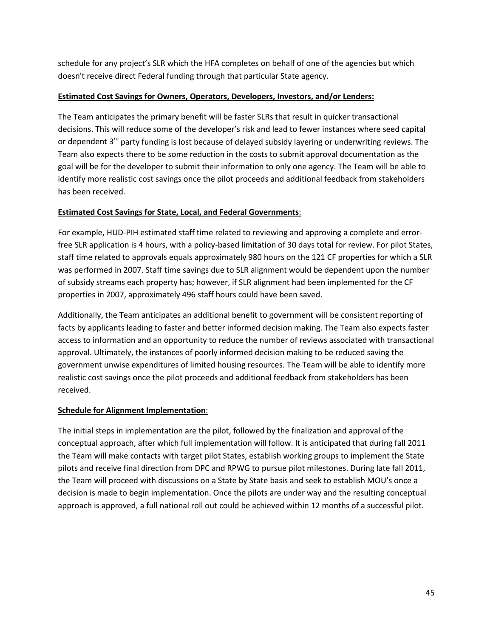schedule for any project's SLR which the HFA completes on behalf of one of the agencies but which doesn't receive direct Federal funding through that particular State agency.

# **Estimated Cost Savings for Owners, Operators, Developers, Investors, and/or Lenders:**

The Team anticipates the primary benefit will be faster SLRs that result in quicker transactional decisions. This will reduce some of the developer's risk and lead to fewer instances where seed capital or dependent  $3^{rd}$  party funding is lost because of delayed subsidy layering or underwriting reviews. The Team also expects there to be some reduction in the costs to submit approval documentation as the goal will be for the developer to submit their information to only one agency. The Team will be able to identify more realistic cost savings once the pilot proceeds and additional feedback from stakeholders has been received.

# **Estimated Cost Savings for State, Local, and Federal Governments**:

For example, HUD-PIH estimated staff time related to reviewing and approving a complete and errorfree SLR application is 4 hours, with a policy-based limitation of 30 days total for review. For pilot States, staff time related to approvals equals approximately 980 hours on the 121 CF properties for which a SLR was performed in 2007. Staff time savings due to SLR alignment would be dependent upon the number of subsidy streams each property has; however, if SLR alignment had been implemented for the CF properties in 2007, approximately 496 staff hours could have been saved.

Additionally, the Team anticipates an additional benefit to government will be consistent reporting of facts by applicants leading to faster and better informed decision making. The Team also expects faster access to information and an opportunity to reduce the number of reviews associated with transactional approval. Ultimately, the instances of poorly informed decision making to be reduced saving the government unwise expenditures of limited housing resources. The Team will be able to identify more realistic cost savings once the pilot proceeds and additional feedback from stakeholders has been received.

# **Schedule for Alignment Implementation**:

The initial steps in implementation are the pilot, followed by the finalization and approval of the conceptual approach, after which full implementation will follow. It is anticipated that during fall 2011 the Team will make contacts with target pilot States, establish working groups to implement the State pilots and receive final direction from DPC and RPWG to pursue pilot milestones. During late fall 2011, the Team will proceed with discussions on a State by State basis and seek to establish MOU's once a decision is made to begin implementation. Once the pilots are under way and the resulting conceptual approach is approved, a full national roll out could be achieved within 12 months of a successful pilot.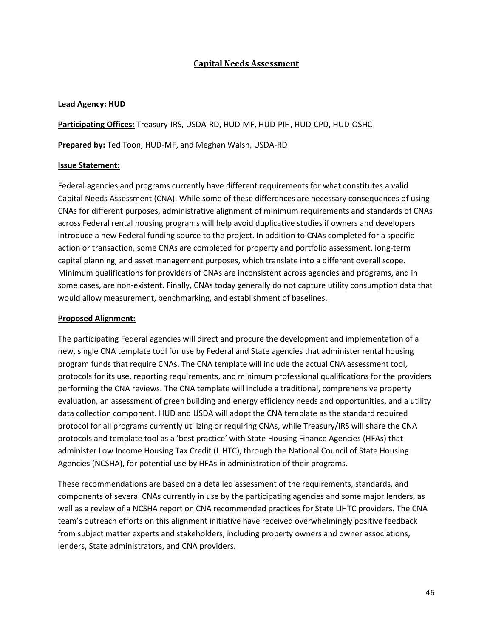## **Capital Needs Assessment**

#### **Lead Agency: HUD**

**Participating Offices:** Treasury-IRS, USDA-RD, HUD-MF, HUD-PIH, HUD-CPD, HUD-OSHC

**Prepared by:** Ted Toon, HUD-MF, and Meghan Walsh, USDA-RD

#### **Issue Statement:**

Federal agencies and programs currently have different requirements for what constitutes a valid Capital Needs Assessment (CNA). While some of these differences are necessary consequences of using CNAs for different purposes, administrative alignment of minimum requirements and standards of CNAs across Federal rental housing programs will help avoid duplicative studies if owners and developers introduce a new Federal funding source to the project. In addition to CNAs completed for a specific action or transaction, some CNAs are completed for property and portfolio assessment, long-term capital planning, and asset management purposes, which translate into a different overall scope. Minimum qualifications for providers of CNAs are inconsistent across agencies and programs, and in some cases, are non-existent. Finally, CNAs today generally do not capture utility consumption data that would allow measurement, benchmarking, and establishment of baselines.

#### **Proposed Alignment:**

The participating Federal agencies will direct and procure the development and implementation of a new, single CNA template tool for use by Federal and State agencies that administer rental housing program funds that require CNAs. The CNA template will include the actual CNA assessment tool, protocols for its use, reporting requirements, and minimum professional qualifications for the providers performing the CNA reviews. The CNA template will include a traditional, comprehensive property evaluation, an assessment of green building and energy efficiency needs and opportunities, and a utility data collection component. HUD and USDA will adopt the CNA template as the standard required protocol for all programs currently utilizing or requiring CNAs, while Treasury/IRS will share the CNA protocols and template tool as a 'best practice' with State Housing Finance Agencies (HFAs) that administer Low Income Housing Tax Credit (LIHTC), through the National Council of State Housing Agencies (NCSHA), for potential use by HFAs in administration of their programs.

These recommendations are based on a detailed assessment of the requirements, standards, and components of several CNAs currently in use by the participating agencies and some major lenders, as well as a review of a NCSHA report on CNA recommended practices for State LIHTC providers. The CNA team's outreach efforts on this alignment initiative have received overwhelmingly positive feedback from subject matter experts and stakeholders, including property owners and owner associations, lenders, State administrators, and CNA providers.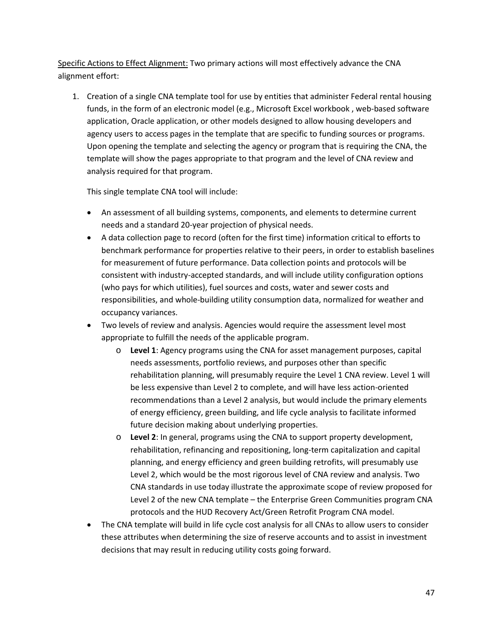Specific Actions to Effect Alignment: Two primary actions will most effectively advance the CNA alignment effort:

1. Creation of a single CNA template tool for use by entities that administer Federal rental housing funds, in the form of an electronic model (e.g., Microsoft Excel workbook , web-based software application, Oracle application, or other models designed to allow housing developers and agency users to access pages in the template that are specific to funding sources or programs. Upon opening the template and selecting the agency or program that is requiring the CNA, the template will show the pages appropriate to that program and the level of CNA review and analysis required for that program.

This single template CNA tool will include:

- An assessment of all building systems, components, and elements to determine current needs and a standard 20-year projection of physical needs.
- A data collection page to record (often for the first time) information critical to efforts to benchmark performance for properties relative to their peers, in order to establish baselines for measurement of future performance. Data collection points and protocols will be consistent with industry-accepted standards, and will include utility configuration options (who pays for which utilities), fuel sources and costs, water and sewer costs and responsibilities, and whole-building utility consumption data, normalized for weather and occupancy variances.
- Two levels of review and analysis. Agencies would require the assessment level most appropriate to fulfill the needs of the applicable program.
	- o **Level 1**: Agency programs using the CNA for asset management purposes, capital needs assessments, portfolio reviews, and purposes other than specific rehabilitation planning, will presumably require the Level 1 CNA review. Level 1 will be less expensive than Level 2 to complete, and will have less action-oriented recommendations than a Level 2 analysis, but would include the primary elements of energy efficiency, green building, and life cycle analysis to facilitate informed future decision making about underlying properties.
	- o **Level 2**: In general, programs using the CNA to support property development, rehabilitation, refinancing and repositioning, long-term capitalization and capital planning, and energy efficiency and green building retrofits, will presumably use Level 2, which would be the most rigorous level of CNA review and analysis. Two CNA standards in use today illustrate the approximate scope of review proposed for Level 2 of the new CNA template – the Enterprise Green Communities program CNA protocols and the HUD Recovery Act/Green Retrofit Program CNA model.
- The CNA template will build in life cycle cost analysis for all CNAs to allow users to consider these attributes when determining the size of reserve accounts and to assist in investment decisions that may result in reducing utility costs going forward.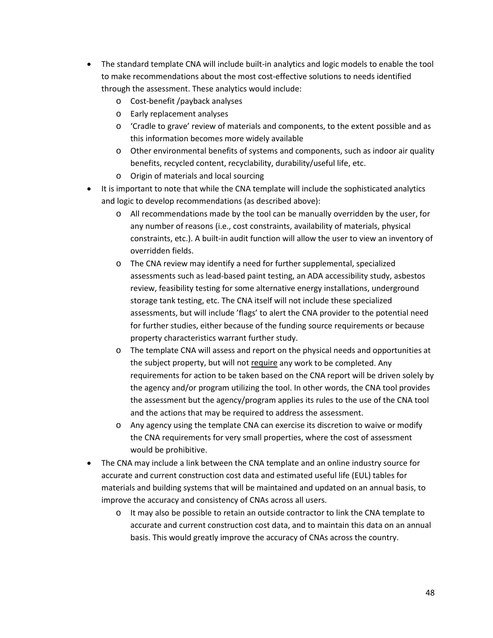- The standard template CNA will include built-in analytics and logic models to enable the tool to make recommendations about the most cost-effective solutions to needs identified through the assessment. These analytics would include:
	- o Cost-benefit /payback analyses
	- o Early replacement analyses
	- o 'Cradle to grave' review of materials and components, to the extent possible and as this information becomes more widely available
	- o Other environmental benefits of systems and components, such as indoor air quality benefits, recycled content, recyclability, durability/useful life, etc.
	- o Origin of materials and local sourcing
- It is important to note that while the CNA template will include the sophisticated analytics and logic to develop recommendations (as described above):
	- o All recommendations made by the tool can be manually overridden by the user, for any number of reasons (i.e., cost constraints, availability of materials, physical constraints, etc.). A built-in audit function will allow the user to view an inventory of overridden fields.
	- o The CNA review may identify a need for further supplemental, specialized assessments such as lead-based paint testing, an ADA accessibility study, asbestos review, feasibility testing for some alternative energy installations, underground storage tank testing, etc. The CNA itself will not include these specialized assessments, but will include 'flags' to alert the CNA provider to the potential need for further studies, either because of the funding source requirements or because property characteristics warrant further study.
	- o The template CNA will assess and report on the physical needs and opportunities at the subject property, but will not require any work to be completed. Any requirements for action to be taken based on the CNA report will be driven solely by the agency and/or program utilizing the tool. In other words, the CNA tool provides the assessment but the agency/program applies its rules to the use of the CNA tool and the actions that may be required to address the assessment.
	- o Any agency using the template CNA can exercise its discretion to waive or modify the CNA requirements for very small properties, where the cost of assessment would be prohibitive.
- The CNA may include a link between the CNA template and an online industry source for accurate and current construction cost data and estimated useful life (EUL) tables for materials and building systems that will be maintained and updated on an annual basis, to improve the accuracy and consistency of CNAs across all users.
	- $\circ$  It may also be possible to retain an outside contractor to link the CNA template to accurate and current construction cost data, and to maintain this data on an annual basis. This would greatly improve the accuracy of CNAs across the country.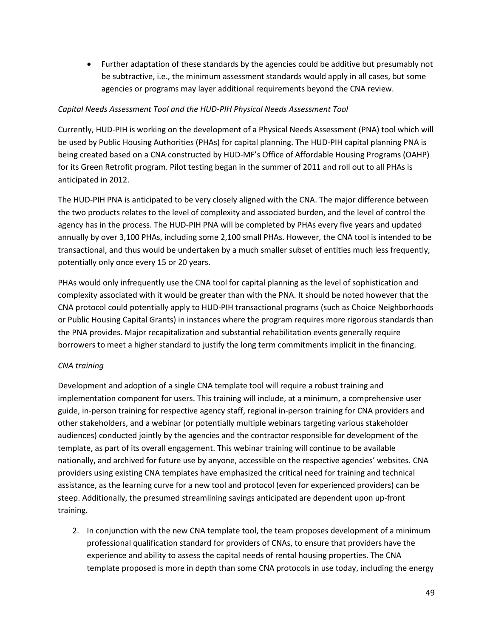• Further adaptation of these standards by the agencies could be additive but presumably not be subtractive, i.e., the minimum assessment standards would apply in all cases, but some agencies or programs may layer additional requirements beyond the CNA review.

## *Capital Needs Assessment Tool and the HUD-PIH Physical Needs Assessment Tool*

Currently, HUD-PIH is working on the development of a Physical Needs Assessment (PNA) tool which will be used by Public Housing Authorities (PHAs) for capital planning. The HUD-PIH capital planning PNA is being created based on a CNA constructed by HUD-MF's Office of Affordable Housing Programs (OAHP) for its Green Retrofit program. Pilot testing began in the summer of 2011 and roll out to all PHAs is anticipated in 2012.

The HUD-PIH PNA is anticipated to be very closely aligned with the CNA. The major difference between the two products relates to the level of complexity and associated burden, and the level of control the agency has in the process. The HUD-PIH PNA will be completed by PHAs every five years and updated annually by over 3,100 PHAs, including some 2,100 small PHAs. However, the CNA tool is intended to be transactional, and thus would be undertaken by a much smaller subset of entities much less frequently, potentially only once every 15 or 20 years.

PHAs would only infrequently use the CNA tool for capital planning as the level of sophistication and complexity associated with it would be greater than with the PNA. It should be noted however that the CNA protocol could potentially apply to HUD-PIH transactional programs (such as Choice Neighborhoods or Public Housing Capital Grants) in instances where the program requires more rigorous standards than the PNA provides. Major recapitalization and substantial rehabilitation events generally require borrowers to meet a higher standard to justify the long term commitments implicit in the financing.

#### *CNA training*

Development and adoption of a single CNA template tool will require a robust training and implementation component for users. This training will include, at a minimum, a comprehensive user guide, in-person training for respective agency staff, regional in-person training for CNA providers and other stakeholders, and a webinar (or potentially multiple webinars targeting various stakeholder audiences) conducted jointly by the agencies and the contractor responsible for development of the template, as part of its overall engagement. This webinar training will continue to be available nationally, and archived for future use by anyone, accessible on the respective agencies' websites. CNA providers using existing CNA templates have emphasized the critical need for training and technical assistance, as the learning curve for a new tool and protocol (even for experienced providers) can be steep. Additionally, the presumed streamlining savings anticipated are dependent upon up-front training.

2. In conjunction with the new CNA template tool, the team proposes development of a minimum professional qualification standard for providers of CNAs, to ensure that providers have the experience and ability to assess the capital needs of rental housing properties. The CNA template proposed is more in depth than some CNA protocols in use today, including the energy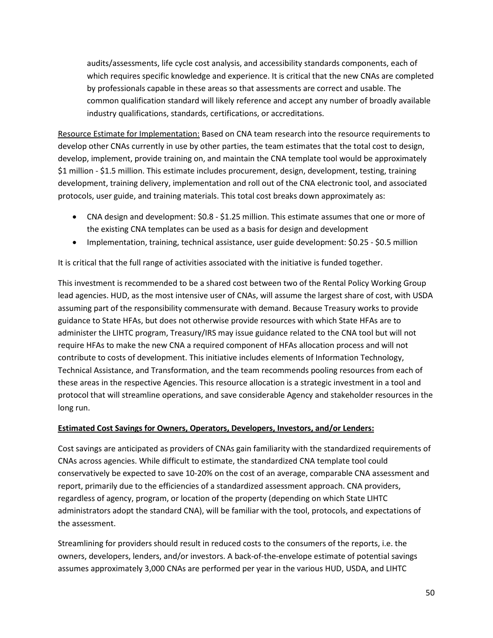audits/assessments, life cycle cost analysis, and accessibility standards components, each of which requires specific knowledge and experience. It is critical that the new CNAs are completed by professionals capable in these areas so that assessments are correct and usable. The common qualification standard will likely reference and accept any number of broadly available industry qualifications, standards, certifications, or accreditations.

Resource Estimate for Implementation: Based on CNA team research into the resource requirements to develop other CNAs currently in use by other parties, the team estimates that the total cost to design, develop, implement, provide training on, and maintain the CNA template tool would be approximately \$1 million - \$1.5 million. This estimate includes procurement, design, development, testing, training development, training delivery, implementation and roll out of the CNA electronic tool, and associated protocols, user guide, and training materials. This total cost breaks down approximately as:

- CNA design and development: \$0.8 \$1.25 million. This estimate assumes that one or more of the existing CNA templates can be used as a basis for design and development
- Implementation, training, technical assistance, user guide development: \$0.25 \$0.5 million

It is critical that the full range of activities associated with the initiative is funded together.

This investment is recommended to be a shared cost between two of the Rental Policy Working Group lead agencies. HUD, as the most intensive user of CNAs, will assume the largest share of cost, with USDA assuming part of the responsibility commensurate with demand. Because Treasury works to provide guidance to State HFAs, but does not otherwise provide resources with which State HFAs are to administer the LIHTC program, Treasury/IRS may issue guidance related to the CNA tool but will not require HFAs to make the new CNA a required component of HFAs allocation process and will not contribute to costs of development. This initiative includes elements of Information Technology, Technical Assistance, and Transformation, and the team recommends pooling resources from each of these areas in the respective Agencies. This resource allocation is a strategic investment in a tool and protocol that will streamline operations, and save considerable Agency and stakeholder resources in the long run.

# **Estimated Cost Savings for Owners, Operators, Developers, Investors, and/or Lenders:**

Cost savings are anticipated as providers of CNAs gain familiarity with the standardized requirements of CNAs across agencies. While difficult to estimate, the standardized CNA template tool could conservatively be expected to save 10-20% on the cost of an average, comparable CNA assessment and report, primarily due to the efficiencies of a standardized assessment approach. CNA providers, regardless of agency, program, or location of the property (depending on which State LIHTC administrators adopt the standard CNA), will be familiar with the tool, protocols, and expectations of the assessment.

Streamlining for providers should result in reduced costs to the consumers of the reports, i.e. the owners, developers, lenders, and/or investors. A back-of-the-envelope estimate of potential savings assumes approximately 3,000 CNAs are performed per year in the various HUD, USDA, and LIHTC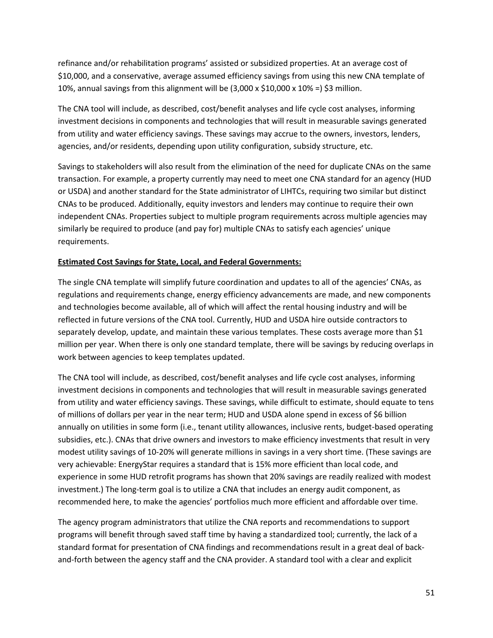refinance and/or rehabilitation programs' assisted or subsidized properties. At an average cost of \$10,000, and a conservative, average assumed efficiency savings from using this new CNA template of 10%, annual savings from this alignment will be  $(3,000 \times 510,000 \times 10\%) = 53$  million.

The CNA tool will include, as described, cost/benefit analyses and life cycle cost analyses, informing investment decisions in components and technologies that will result in measurable savings generated from utility and water efficiency savings. These savings may accrue to the owners, investors, lenders, agencies, and/or residents, depending upon utility configuration, subsidy structure, etc.

Savings to stakeholders will also result from the elimination of the need for duplicate CNAs on the same transaction. For example, a property currently may need to meet one CNA standard for an agency (HUD or USDA) and another standard for the State administrator of LIHTCs, requiring two similar but distinct CNAs to be produced. Additionally, equity investors and lenders may continue to require their own independent CNAs. Properties subject to multiple program requirements across multiple agencies may similarly be required to produce (and pay for) multiple CNAs to satisfy each agencies' unique requirements.

## **Estimated Cost Savings for State, Local, and Federal Governments:**

The single CNA template will simplify future coordination and updates to all of the agencies' CNAs, as regulations and requirements change, energy efficiency advancements are made, and new components and technologies become available, all of which will affect the rental housing industry and will be reflected in future versions of the CNA tool. Currently, HUD and USDA hire outside contractors to separately develop, update, and maintain these various templates. These costs average more than \$1 million per year. When there is only one standard template, there will be savings by reducing overlaps in work between agencies to keep templates updated.

The CNA tool will include, as described, cost/benefit analyses and life cycle cost analyses, informing investment decisions in components and technologies that will result in measurable savings generated from utility and water efficiency savings. These savings, while difficult to estimate, should equate to tens of millions of dollars per year in the near term; HUD and USDA alone spend in excess of \$6 billion annually on utilities in some form (i.e., tenant utility allowances, inclusive rents, budget-based operating subsidies, etc.). CNAs that drive owners and investors to make efficiency investments that result in very modest utility savings of 10-20% will generate millions in savings in a very short time. (These savings are very achievable: EnergyStar requires a standard that is 15% more efficient than local code, and experience in some HUD retrofit programs has shown that 20% savings are readily realized with modest investment.) The long-term goal is to utilize a CNA that includes an energy audit component, as recommended here, to make the agencies' portfolios much more efficient and affordable over time.

The agency program administrators that utilize the CNA reports and recommendations to support programs will benefit through saved staff time by having a standardized tool; currently, the lack of a standard format for presentation of CNA findings and recommendations result in a great deal of backand-forth between the agency staff and the CNA provider. A standard tool with a clear and explicit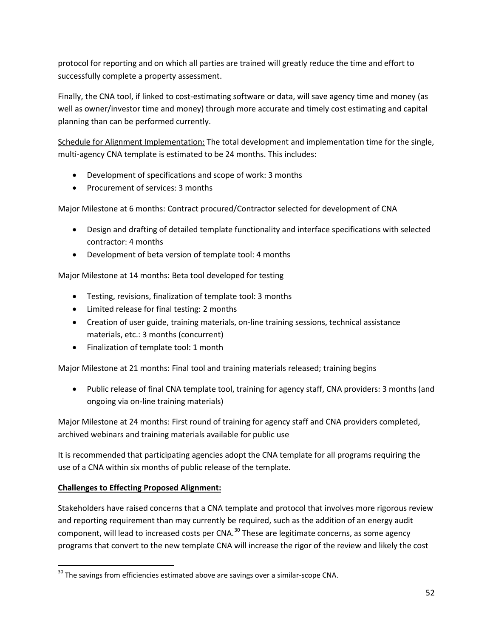protocol for reporting and on which all parties are trained will greatly reduce the time and effort to successfully complete a property assessment.

Finally, the CNA tool, if linked to cost-estimating software or data, will save agency time and money (as well as owner/investor time and money) through more accurate and timely cost estimating and capital planning than can be performed currently.

Schedule for Alignment Implementation: The total development and implementation time for the single, multi-agency CNA template is estimated to be 24 months. This includes:

- Development of specifications and scope of work: 3 months
- Procurement of services: 3 months

Major Milestone at 6 months: Contract procured/Contractor selected for development of CNA

- Design and drafting of detailed template functionality and interface specifications with selected contractor: 4 months
- Development of beta version of template tool: 4 months

Major Milestone at 14 months: Beta tool developed for testing

- Testing, revisions, finalization of template tool: 3 months
- Limited release for final testing: 2 months
- Creation of user guide, training materials, on-line training sessions, technical assistance materials, etc.: 3 months (concurrent)
- Finalization of template tool: 1 month

Major Milestone at 21 months: Final tool and training materials released; training begins

• Public release of final CNA template tool, training for agency staff, CNA providers: 3 months (and ongoing via on-line training materials)

Major Milestone at 24 months: First round of training for agency staff and CNA providers completed, archived webinars and training materials available for public use

It is recommended that participating agencies adopt the CNA template for all programs requiring the use of a CNA within six months of public release of the template.

# **Challenges to Effecting Proposed Alignment:**

Stakeholders have raised concerns that a CNA template and protocol that involves more rigorous review and reporting requirement than may currently be required, such as the addition of an energy audit component, will lead to increased costs per CNA.<sup>[30](#page-51-0)</sup> These are legitimate concerns, as some agency programs that convert to the new template CNA will increase the rigor of the review and likely the cost

<span id="page-51-0"></span> $30$  The savings from efficiencies estimated above are savings over a similar-scope CNA.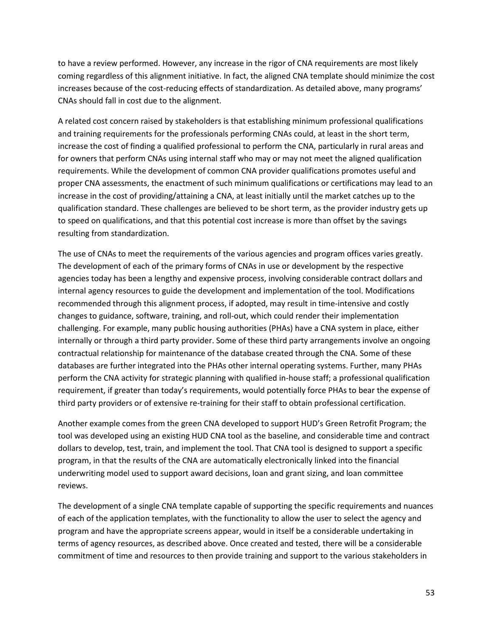to have a review performed. However, any increase in the rigor of CNA requirements are most likely coming regardless of this alignment initiative. In fact, the aligned CNA template should minimize the cost increases because of the cost-reducing effects of standardization. As detailed above, many programs' CNAs should fall in cost due to the alignment.

A related cost concern raised by stakeholders is that establishing minimum professional qualifications and training requirements for the professionals performing CNAs could, at least in the short term, increase the cost of finding a qualified professional to perform the CNA, particularly in rural areas and for owners that perform CNAs using internal staff who may or may not meet the aligned qualification requirements. While the development of common CNA provider qualifications promotes useful and proper CNA assessments, the enactment of such minimum qualifications or certifications may lead to an increase in the cost of providing/attaining a CNA, at least initially until the market catches up to the qualification standard. These challenges are believed to be short term, as the provider industry gets up to speed on qualifications, and that this potential cost increase is more than offset by the savings resulting from standardization.

The use of CNAs to meet the requirements of the various agencies and program offices varies greatly. The development of each of the primary forms of CNAs in use or development by the respective agencies today has been a lengthy and expensive process, involving considerable contract dollars and internal agency resources to guide the development and implementation of the tool. Modifications recommended through this alignment process, if adopted, may result in time-intensive and costly changes to guidance, software, training, and roll-out, which could render their implementation challenging. For example, many public housing authorities (PHAs) have a CNA system in place, either internally or through a third party provider. Some of these third party arrangements involve an ongoing contractual relationship for maintenance of the database created through the CNA. Some of these databases are further integrated into the PHAs other internal operating systems. Further, many PHAs perform the CNA activity for strategic planning with qualified in-house staff; a professional qualification requirement, if greater than today's requirements, would potentially force PHAs to bear the expense of third party providers or of extensive re-training for their staff to obtain professional certification.

Another example comes from the green CNA developed to support HUD's Green Retrofit Program; the tool was developed using an existing HUD CNA tool as the baseline, and considerable time and contract dollars to develop, test, train, and implement the tool. That CNA tool is designed to support a specific program, in that the results of the CNA are automatically electronically linked into the financial underwriting model used to support award decisions, loan and grant sizing, and loan committee reviews.

The development of a single CNA template capable of supporting the specific requirements and nuances of each of the application templates, with the functionality to allow the user to select the agency and program and have the appropriate screens appear, would in itself be a considerable undertaking in terms of agency resources, as described above. Once created and tested, there will be a considerable commitment of time and resources to then provide training and support to the various stakeholders in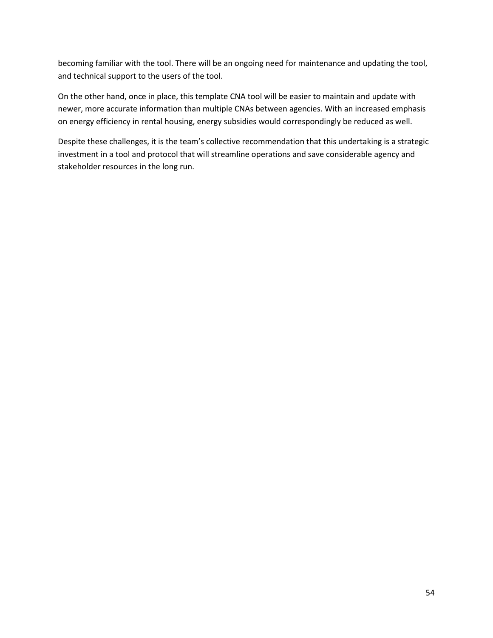becoming familiar with the tool. There will be an ongoing need for maintenance and updating the tool, and technical support to the users of the tool.

On the other hand, once in place, this template CNA tool will be easier to maintain and update with newer, more accurate information than multiple CNAs between agencies. With an increased emphasis on energy efficiency in rental housing, energy subsidies would correspondingly be reduced as well.

Despite these challenges, it is the team's collective recommendation that this undertaking is a strategic investment in a tool and protocol that will streamline operations and save considerable agency and stakeholder resources in the long run.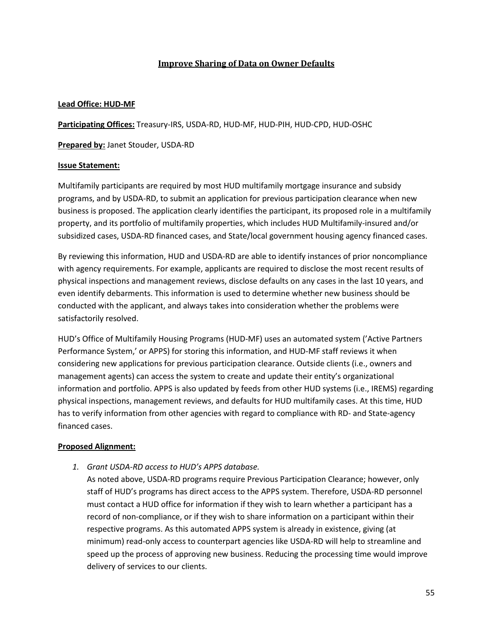# **Improve Sharing of Data on Owner Defaults**

## **Lead Office: HUD-MF**

**Participating Offices:** Treasury-IRS, USDA-RD, HUD-MF, HUD-PIH, HUD-CPD, HUD-OSHC

**Prepared by:** Janet Stouder, USDA-RD

## **Issue Statement:**

Multifamily participants are required by most HUD multifamily mortgage insurance and subsidy programs, and by USDA-RD, to submit an application for previous participation clearance when new business is proposed. The application clearly identifies the participant, its proposed role in a multifamily property, and its portfolio of multifamily properties, which includes HUD Multifamily-insured and/or subsidized cases, USDA-RD financed cases, and State/local government housing agency financed cases.

By reviewing this information, HUD and USDA-RD are able to identify instances of prior noncompliance with agency requirements. For example, applicants are required to disclose the most recent results of physical inspections and management reviews, disclose defaults on any cases in the last 10 years, and even identify debarments. This information is used to determine whether new business should be conducted with the applicant, and always takes into consideration whether the problems were satisfactorily resolved.

HUD's Office of Multifamily Housing Programs (HUD-MF) uses an automated system ('Active Partners Performance System,' or APPS) for storing this information, and HUD-MF staff reviews it when considering new applications for previous participation clearance. Outside clients (i.e., owners and management agents) can access the system to create and update their entity's organizational information and portfolio. APPS is also updated by feeds from other HUD systems (i.e., IREMS) regarding physical inspections, management reviews, and defaults for HUD multifamily cases. At this time, HUD has to verify information from other agencies with regard to compliance with RD- and State-agency financed cases.

#### **Proposed Alignment:**

*1. Grant USDA-RD access to HUD's APPS database.*

As noted above, USDA-RD programs require Previous Participation Clearance; however, only staff of HUD's programs has direct access to the APPS system. Therefore, USDA-RD personnel must contact a HUD office for information if they wish to learn whether a participant has a record of non-compliance, or if they wish to share information on a participant within their respective programs. As this automated APPS system is already in existence, giving (at minimum) read-only access to counterpart agencies like USDA-RD will help to streamline and speed up the process of approving new business. Reducing the processing time would improve delivery of services to our clients.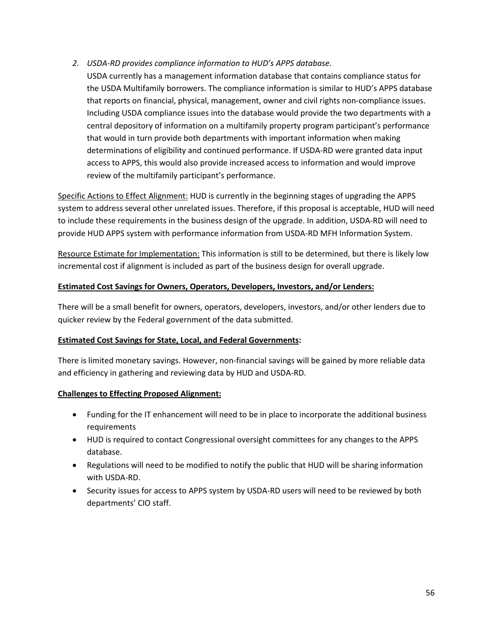# *2. USDA-RD provides compliance information to HUD's APPS database.*

USDA currently has a management information database that contains compliance status for the USDA Multifamily borrowers. The compliance information is similar to HUD's APPS database that reports on financial, physical, management, owner and civil rights non-compliance issues. Including USDA compliance issues into the database would provide the two departments with a central depository of information on a multifamily property program participant's performance that would in turn provide both departments with important information when making determinations of eligibility and continued performance. If USDA-RD were granted data input access to APPS, this would also provide increased access to information and would improve review of the multifamily participant's performance.

Specific Actions to Effect Alignment: HUD is currently in the beginning stages of upgrading the APPS system to address several other unrelated issues. Therefore, if this proposal is acceptable, HUD will need to include these requirements in the business design of the upgrade. In addition, USDA-RD will need to provide HUD APPS system with performance information from USDA-RD MFH Information System.

Resource Estimate for Implementation: This information is still to be determined, but there is likely low incremental cost if alignment is included as part of the business design for overall upgrade.

#### **Estimated Cost Savings for Owners, Operators, Developers, Investors, and/or Lenders:**

There will be a small benefit for owners, operators, developers, investors, and/or other lenders due to quicker review by the Federal government of the data submitted.

#### **Estimated Cost Savings for State, Local, and Federal Governments:**

There is limited monetary savings. However, non-financial savings will be gained by more reliable data and efficiency in gathering and reviewing data by HUD and USDA-RD.

# **Challenges to Effecting Proposed Alignment:**

- Funding for the IT enhancement will need to be in place to incorporate the additional business requirements
- HUD is required to contact Congressional oversight committees for any changes to the APPS database.
- Regulations will need to be modified to notify the public that HUD will be sharing information with USDA-RD.
- Security issues for access to APPS system by USDA-RD users will need to be reviewed by both departments' CIO staff.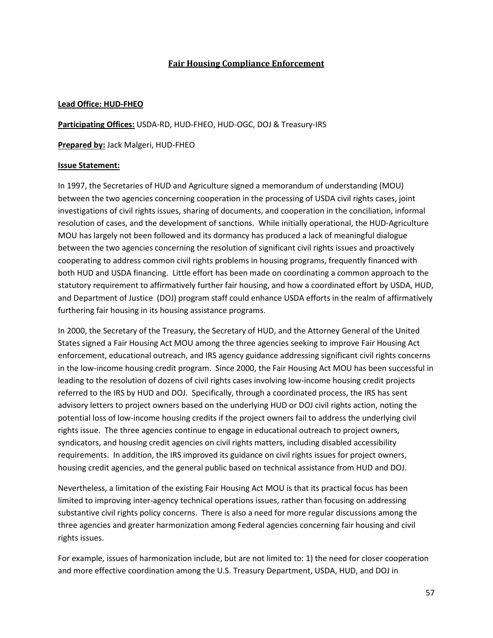# **Fair Housing Compliance Enforcement**

### **Lead Office: HUD-FHEO**

**Participating Offices:** USDA-RD, HUD-FHEO, HUD-OGC, DOJ & Treasury-IRS

**Prepared by:** Jack Malgeri, HUD-FHEO

## **Issue Statement:**

In 1997, the Secretaries of HUD and Agriculture signed a memorandum of understanding (MOU) between the two agencies concerning cooperation in the processing of USDA civil rights cases, joint investigations of civil rights issues, sharing of documents, and cooperation in the conciliation, informal resolution of cases, and the development of sanctions. While initially operational, the HUD-Agriculture MOU has largely not been followed and its dormancy has produced a lack of meaningful dialogue between the two agencies concerning the resolution of significant civil rights issues and proactively cooperating to address common civil rights problems in housing programs, frequently financed with both HUD and USDA financing. Little effort has been made on coordinating a common approach to the statutory requirement to affirmatively further fair housing, and how a coordinated effort by USDA, HUD, and Department of Justice (DOJ) program staff could enhance USDA efforts in the realm of affirmatively furthering fair housing in its housing assistance programs.

In 2000, the Secretary of the Treasury, the Secretary of HUD, and the Attorney General of the United States signed a Fair Housing Act MOU among the three agencies seeking to improve Fair Housing Act enforcement, educational outreach, and IRS agency guidance addressing significant civil rights concerns in the low-income housing credit program. Since 2000, the Fair Housing Act MOU has been successful in leading to the resolution of dozens of civil rights cases involving low-income housing credit projects referred to the IRS by HUD and DOJ. Specifically, through a coordinated process, the IRS has sent advisory letters to project owners based on the underlying HUD or DOJ civil rights action, noting the potential loss of low-income housing credits if the project owners fail to address the underlying civil rights issue. The three agencies continue to engage in educational outreach to project owners, syndicators, and housing credit agencies on civil rights matters, including disabled accessibility requirements. In addition, the IRS improved its guidance on civil rights issues for project owners, housing credit agencies, and the general public based on technical assistance from HUD and DOJ.

Nevertheless, a limitation of the existing Fair Housing Act MOU is that its practical focus has been limited to improving inter-agency technical operations issues, rather than focusing on addressing substantive civil rights policy concerns. There is also a need for more regular discussions among the three agencies and greater harmonization among Federal agencies concerning fair housing and civil rights issues.

For example, issues of harmonization include, but are not limited to: 1) the need for closer cooperation and more effective coordination among the U.S. Treasury Department, USDA, HUD, and DOJ in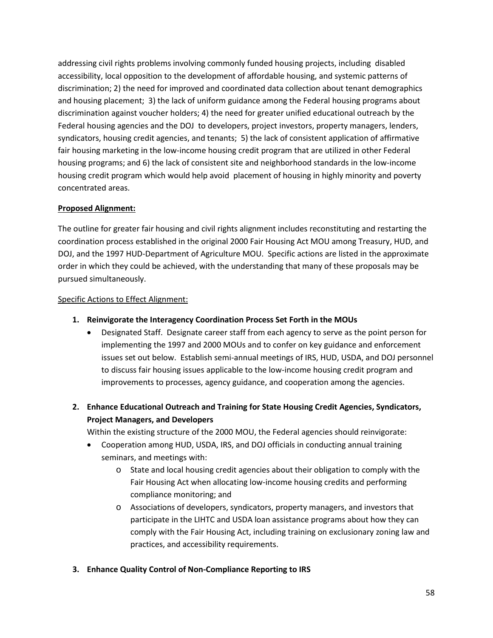addressing civil rights problems involving commonly funded housing projects, including disabled accessibility, local opposition to the development of affordable housing, and systemic patterns of discrimination; 2) the need for improved and coordinated data collection about tenant demographics and housing placement; 3) the lack of uniform guidance among the Federal housing programs about discrimination against voucher holders; 4) the need for greater unified educational outreach by the Federal housing agencies and the DOJ to developers, project investors, property managers, lenders, syndicators, housing credit agencies, and tenants; 5) the lack of consistent application of affirmative fair housing marketing in the low-income housing credit program that are utilized in other Federal housing programs; and 6) the lack of consistent site and neighborhood standards in the low-income housing credit program which would help avoid placement of housing in highly minority and poverty concentrated areas.

## **Proposed Alignment:**

The outline for greater fair housing and civil rights alignment includes reconstituting and restarting the coordination process established in the original 2000 Fair Housing Act MOU among Treasury, HUD, and DOJ, and the 1997 HUD-Department of Agriculture MOU. Specific actions are listed in the approximate order in which they could be achieved, with the understanding that many of these proposals may be pursued simultaneously.

#### Specific Actions to Effect Alignment:

- **1. Reinvigorate the Interagency Coordination Process Set Forth in the MOUs**
	- Designated Staff. Designate career staff from each agency to serve as the point person for implementing the 1997 and 2000 MOUs and to confer on key guidance and enforcement issues set out below. Establish semi-annual meetings of IRS, HUD, USDA, and DOJ personnel to discuss fair housing issues applicable to the low-income housing credit program and improvements to processes, agency guidance, and cooperation among the agencies.
- **2. Enhance Educational Outreach and Training for State Housing Credit Agencies, Syndicators, Project Managers, and Developers**

Within the existing structure of the 2000 MOU, the Federal agencies should reinvigorate:

- Cooperation among HUD, USDA, IRS, and DOJ officials in conducting annual training seminars, and meetings with:
	- o State and local housing credit agencies about their obligation to comply with the Fair Housing Act when allocating low-income housing credits and performing compliance monitoring; and
	- o Associations of developers, syndicators, property managers, and investors that participate in the LIHTC and USDA loan assistance programs about how they can comply with the Fair Housing Act, including training on exclusionary zoning law and practices, and accessibility requirements.
- **3. Enhance Quality Control of Non-Compliance Reporting to IRS**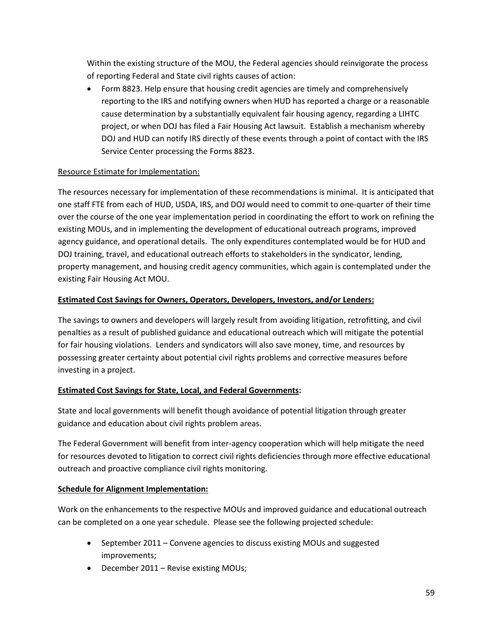Within the existing structure of the MOU, the Federal agencies should reinvigorate the process of reporting Federal and State civil rights causes of action:

• Form 8823. Help ensure that housing credit agencies are timely and comprehensively reporting to the IRS and notifying owners when HUD has reported a charge or a reasonable cause determination by a substantially equivalent fair housing agency, regarding a LIHTC project, or when DOJ has filed a Fair Housing Act lawsuit. Establish a mechanism whereby DOJ and HUD can notify IRS directly of these events through a point of contact with the IRS Service Center processing the Forms 8823.

# Resource Estimate for Implementation:

The resources necessary for implementation of these recommendations is minimal. It is anticipated that one staff FTE from each of HUD, USDA, IRS, and DOJ would need to commit to one-quarter of their time over the course of the one year implementation period in coordinating the effort to work on refining the existing MOUs, and in implementing the development of educational outreach programs, improved agency guidance, and operational details. The only expenditures contemplated would be for HUD and DOJ training, travel, and educational outreach efforts to stakeholders in the syndicator, lending, property management, and housing credit agency communities, which again is contemplated under the existing Fair Housing Act MOU.

# **Estimated Cost Savings for Owners, Operators, Developers, Investors, and/or Lenders:**

The savings to owners and developers will largely result from avoiding litigation, retrofitting, and civil penalties as a result of published guidance and educational outreach which will mitigate the potential for fair housing violations. Lenders and syndicators will also save money, time, and resources by possessing greater certainty about potential civil rights problems and corrective measures before investing in a project.

# **Estimated Cost Savings for State, Local, and Federal Governments:**

State and local governments will benefit though avoidance of potential litigation through greater guidance and education about civil rights problem areas.

The Federal Government will benefit from inter-agency cooperation which will help mitigate the need for resources devoted to litigation to correct civil rights deficiencies through more effective educational outreach and proactive compliance civil rights monitoring.

# **Schedule for Alignment Implementation:**

Work on the enhancements to the respective MOUs and improved guidance and educational outreach can be completed on a one year schedule. Please see the following projected schedule:

- September 2011 Convene agencies to discuss existing MOUs and suggested improvements;
- December 2011 Revise existing MOUs;